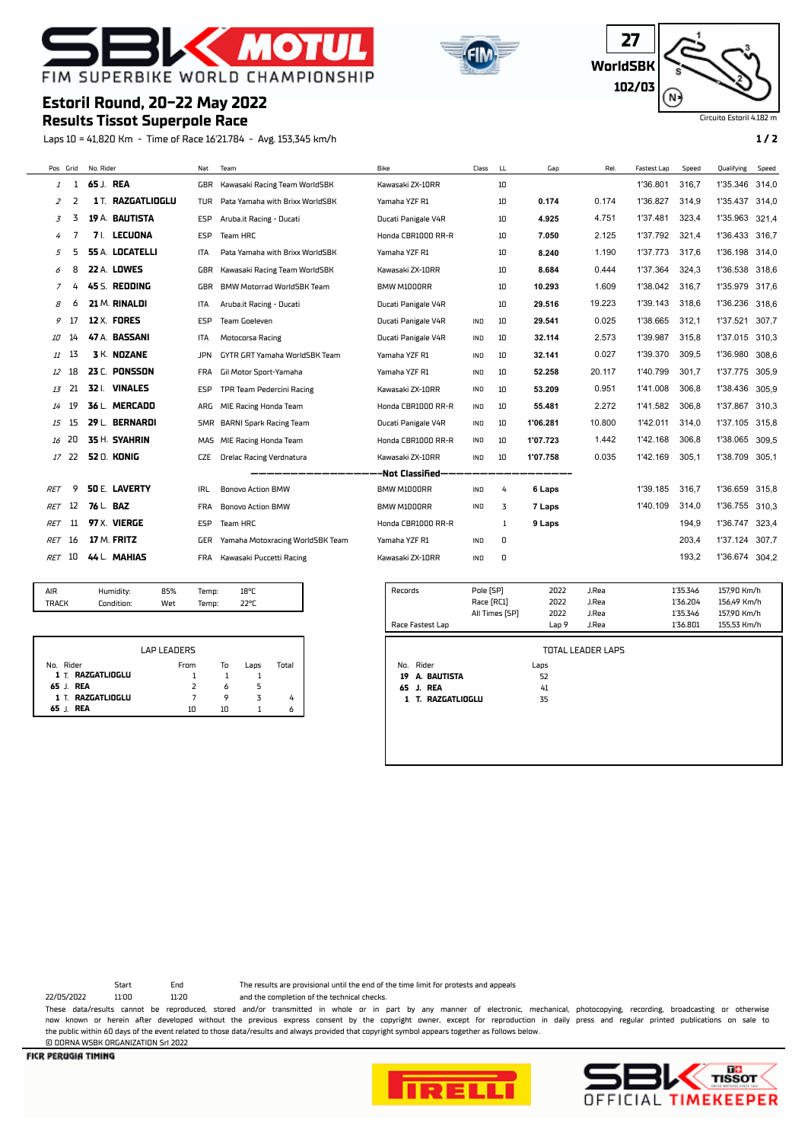





Circuito Estoril

# **Estoril Round, 20-22 May 2022**

## **Results Tissot Superpole Race**

Laps 10 = 41,820 Km - Time of Race 16'21.784 - Avg. 153,345 km/h **1 / 2**

| Pos Grid            |    | No. Rider                             | Nat            | Team                             | Bike                | Class                   | LL.            | Gap              | Rel.                     | Fastest Lap | Speed                | Qualifying                 | Speed |
|---------------------|----|---------------------------------------|----------------|----------------------------------|---------------------|-------------------------|----------------|------------------|--------------------------|-------------|----------------------|----------------------------|-------|
| 1                   | 1  | 65 J. REA                             | GBR            | Kawasaki Racing Team WorldSBK    | Kawasaki ZX-10RR    |                         | 10             |                  |                          | 1'36.801    | 316,7                | 1'35.346                   | 314,0 |
| 2                   | 2  | <b>1T. RAZGATLIOGLU</b>               | <b>TUR</b>     | Pata Yamaha with Brixx WorldSBK  | Yamaha YZF R1       |                         | 10             | 0.174            | 0.174                    | 1'36.827    | 314,9                | 1'35.437                   | 314,0 |
| 3                   | 3  | 19 A. BAUTISTA                        | ESP            | Aruba.it Racing - Ducati         | Ducati Panigale V4R |                         | 10             | 4.925            | 4.751                    | 1'37.481    | 323,4                | 1'35.963                   | 321,4 |
| 4                   | 7  | 71. LECUONA                           | <b>ESP</b>     | Team HRC                         | Honda CBR1000 RR-R  |                         | 10             | 7.050            | 2.125                    | 1'37.792    | 321,4                | 1'36.433                   | 316,7 |
| 5                   | 5  | <b>55 A. LOCATELLI</b>                | ITA            | Pata Yamaha with Brixx WorldSBK  | Yamaha YZF R1       |                         | 10             | 8.240            | 1.190                    | 1'37.773    | 317,6                | 1'36.198                   | 314,0 |
| 6                   | 8  | <b>22 A. LOWES</b>                    | <b>GBR</b>     | Kawasaki Racing Team WorldSBK    | Kawasaki ZX-10RR    |                         | 10             | 8.684            | 0.444                    | 1'37.364    | 324,3                | 1'36.538                   | 318.6 |
| 7                   | 4  | 45 S. REDDING                         | GBR            | BMW Motorrad WorldSBK Team       | BMW M1000RR         |                         | 10             | 10.293           | 1.609                    | 1'38.042    | 316,7                | 1'35.979                   | 317,6 |
| 8                   | 6  | 21 M. RINALDI                         | <b>ITA</b>     | Aruba.it Racing - Ducati         | Ducati Panigale V4R |                         | 10             | 29.516           | 19.223                   | 1'39.143    | 318,6                | 1'36.236                   | 318.6 |
| 9                   | 17 | <b>12 X. FORES</b>                    | <b>ESP</b>     | <b>Team Goeleven</b>             | Ducati Panigale V4R | IND                     | 10             | 29.541           | 0.025                    | 1'38.665    | 312.1                | 1'37.521                   | 307.7 |
| 10                  | 14 | 47 A. BASSANI                         | <b>ITA</b>     | Motocorsa Racing                 | Ducati Panigale V4R | IND                     | 10             | 32.114           | 2.573                    | 1'39.987    | 315.8                | 1'37.015                   | 310.3 |
| 11                  | 13 | 3 K. NOZANE                           | <b>JPN</b>     | GYTR GRT Yamaha WorldSBK Team    | Yamaha YZF R1       | IND                     | 10             | 32.141           | 0.027                    | 1'39.370    | 309.5                | 1'36.980                   | 308,6 |
| 12                  | 18 | 23 C. PONSSON                         | FRA            | Gil Motor Sport-Yamaha           | Yamaha YZF R1       | IND                     | 10             | 52.258           | 20.117                   | 1'40.799    | 301.7                | 1'37.775                   | 305.9 |
| 13                  | 21 | 32   VINALES                          | ESP            | TPR Team Pedercini Racing        | Kawasaki ZX-10RR    | IND                     | 10             | 53.209           | 0.951                    | 1'41.008    | 306.8                | 1'38.436                   | 305,9 |
| 14                  | 19 | 36 L. MERCADO                         | ARG            | MIE Racing Honda Team            | Honda CBR1000 RR-R  | IND                     | 10             | 55.481           | 2.272                    | 1'41.582    | 306,8                | 1'37.867                   | 310,3 |
| 15                  | 15 | 29 L. BERNARDI                        | SMR            | <b>BARNI Spark Racing Team</b>   | Ducati Panigale V4R | IND                     | 10             | 1'06.281         | 10.800                   | 1'42.011    | 314,0                | 1'37.105                   | 315,8 |
| 16                  | 20 | 35 H. SYAHRIN                         | <b>MAS</b>     | MIE Racing Honda Team            | Honda CBR1000 RR-R  | IND                     | 10             | 1'07.723         | 1.442                    | 1'42.168    | 306,8                | 1'38.065                   | 309,5 |
| 17                  | 22 | 52 O. KONIG                           | <b>CZE</b>     | <b>Orelac Racing Verdnatura</b>  | Kawasaki ZX-10RR    | IND                     | 10             | 1'07.758         | 0.035                    | 1'42.169    | 305,1                | 1'38.709                   | 305,1 |
|                     |    |                                       |                |                                  | -Not Classified-    |                         |                |                  |                          |             |                      |                            |       |
| <b>RET</b>          | 9  | <b>50 E. LAVERTY</b>                  | IRL            | <b>Bonovo Action BMW</b>         | BMW M1000RR         | IND                     | 4              | 6 Laps           |                          | 1'39.185    | 316,7                | 1'36.659                   | 315,8 |
| <b>RET</b>          | 12 | 76 L. BAZ                             | <b>FRA</b>     | <b>Bonovo Action BMW</b>         | BMW M1000RR         | IND                     | 3              | 7 Laps           |                          | 1'40.109    | 314,0                | 1'36.755                   | 310.3 |
| <b>RET</b>          | 11 | 97 X. VIERGE                          | <b>ESP</b>     | Team HRC                         | Honda CBR1000 RR-R  |                         | 1              | 9 Laps           |                          |             | 194.9                | 1'36.747                   | 323,4 |
| RET                 | 16 | 17 M. FRITZ                           | GER            | Yamaha Motoxracing WorldSBK Team | Yamaha YZF R1       | IND                     | 0              |                  |                          |             | 203.4                | 1'37.124                   | 307,7 |
| RET                 | 10 | 44 L. MAHIAS                          | <b>FRA</b>     | Kawasaki Puccetti Racing         | Kawasaki ZX-10RR    | IND                     | 0              |                  |                          |             | 193,2                | 1'36.674 304,2             |       |
|                     |    |                                       |                |                                  |                     |                         |                |                  |                          |             |                      |                            |       |
| AIR<br><b>TRACK</b> |    | 85%<br>Humidity:<br>Condition:<br>Wet | Temp:<br>Temp: | 18°C<br>22°C                     | Records             | Pole [SP]<br>Race [RC1] |                | 2022<br>2022     | J.Rea<br>J.Rea           |             | 1'35.346<br>1'36.204 | 157,90 Km/h<br>156,49 Km/h |       |
|                     |    |                                       |                |                                  |                     |                         | All Times [SP] | 2022             | J.Rea                    |             | 1'35.346             | 157,90 Km/h                |       |
|                     |    |                                       |                |                                  | Race Fastest Lap    |                         |                | Lap <sub>9</sub> | J.Rea                    |             | 1'36.801             | 155,53 Km/h                |       |
|                     |    | <b>LAP LEADERS</b>                    |                |                                  |                     |                         |                |                  | <b>TOTAL LEADER LAPS</b> |             |                      |                            |       |

|                    | LAP LEADERS |    |      |       |
|--------------------|-------------|----|------|-------|
| No. Rider          | From        | То | Laps | Total |
| 1 T. RAZGATLIOGLU  |             |    |      |       |
| 65 J. REA          |             | 6  |      |       |
| 1 T. RAZGATLIOGLU  |             | o  |      |       |
| <b>REA</b><br>65 I | 10          | 10 |      |       |

|    |                   | All Times [SP] | 2022  | J.Rea                    | 1'35.346 | 157,90 Km/h |
|----|-------------------|----------------|-------|--------------------------|----------|-------------|
|    | Race Fastest Lap  |                | Lap 9 | J.Rea                    | 1'36.801 | 155,53 Km/h |
|    |                   |                |       |                          |          |             |
|    |                   |                |       | <b>TOTAL LEADER LAPS</b> |          |             |
|    | No. Rider         |                | Laps  |                          |          |             |
| 19 | A. BAUTISTA       |                | 52    |                          |          |             |
|    | 65 J. REA         |                | 41    |                          |          |             |
|    | 1 T. RAZGATLIOGLU |                | 35    |                          |          |             |
|    |                   |                |       |                          |          |             |
|    |                   |                |       |                          |          |             |
|    |                   |                |       |                          |          |             |
|    |                   |                |       |                          |          |             |
|    |                   |                |       |                          |          |             |

© DORNA WSBK ORGANIZATION Srl 2022

Start End The results are provisional until the end of the time limit for protests and appeals

22/05/2022 11:00 11:20 and the completion of the technical checks. These data/results cannot be reproduced, stored and/or transmitted in whole or in part by any manner of electronic, mechanical, photocopying, recording, broadcasting or otherwise now known or herein afer developed without the previous express consent by the copyright owner, except for reproduction in daily press and regular printed publications on sale to the public within 60 days of the event related to those data/results and always provided that copyright symbol appears together as follows below.



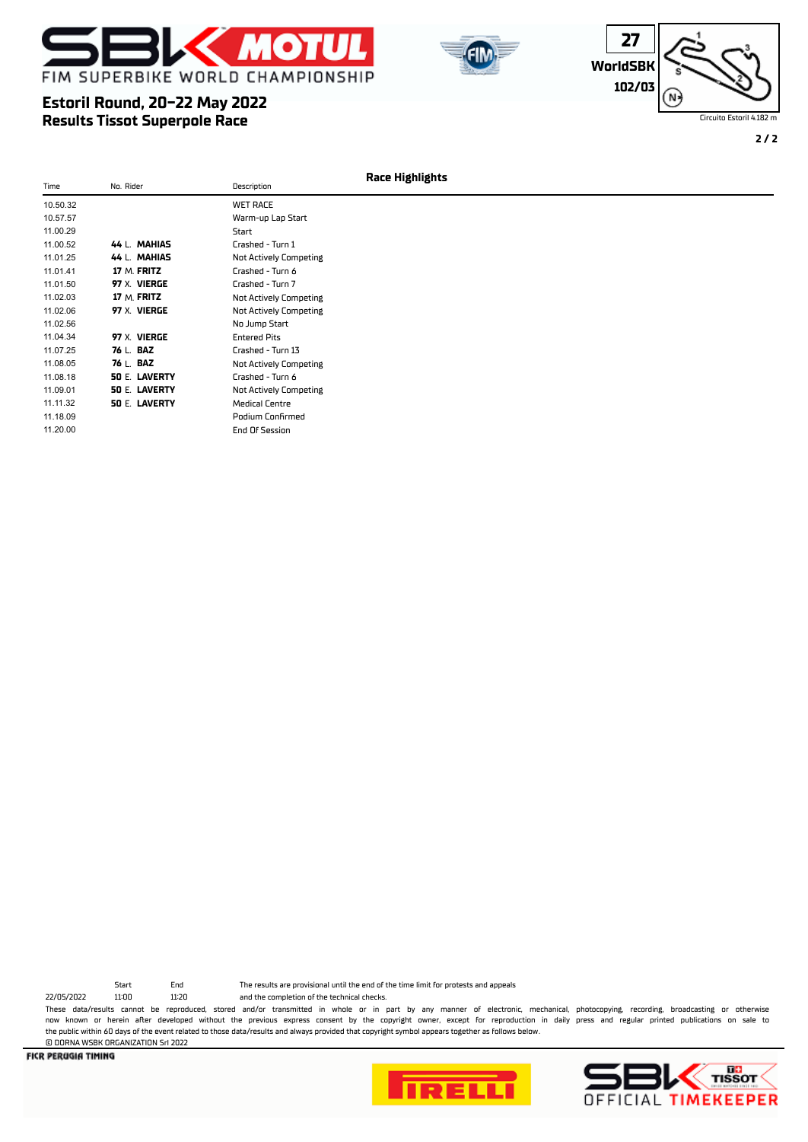







**2 / 2**

| Time     | No. Rider            | Description                   | <b>Race Highlights</b> |
|----------|----------------------|-------------------------------|------------------------|
|          |                      |                               |                        |
| 10.50.32 |                      | <b>WET RACE</b>               |                        |
| 10.57.57 |                      | Warm-up Lap Start             |                        |
| 11.00.29 |                      | Start                         |                        |
| 11.00.52 | 44 L. MAHIAS         | Crashed - Turn 1              |                        |
| 11.01.25 | 44 L. MAHIAS         | <b>Not Actively Competing</b> |                        |
| 11.01.41 | 17 M. FRITZ          | Crashed - Turn 6              |                        |
| 11.01.50 | 97 X. VIERGE         | Crashed - Turn 7              |                        |
| 11.02.03 | 17 M. FRITZ          | <b>Not Actively Competing</b> |                        |
| 11.02.06 | 97 X. VIERGE         | Not Actively Competing        |                        |
| 11.02.56 |                      | No Jump Start                 |                        |
| 11.04.34 | 97 X. VIERGE         | <b>Entered Pits</b>           |                        |
| 11.07.25 | 76 L. BAZ            | Crashed - Turn 13             |                        |
| 11.08.05 | 76 L. BAZ            | Not Actively Competing        |                        |
| 11.08.18 | <b>50 E. LAVERTY</b> | Crashed - Turn 6              |                        |
| 11.09.01 | <b>50 E. LAVERTY</b> | Not Actively Competing        |                        |
| 11.11.32 | 50 E. LAVERTY        | <b>Medical Centre</b>         |                        |
| 11.18.09 |                      | <b>Podium Confirmed</b>       |                        |
| 11.20.00 |                      | End Of Session                |                        |

22/05/2022 11:00 11:20 and the completion of the technical checks.

© DORNA WSBK ORGANIZATION Srl 2022

Start End The results are provisional until the end of the time limit for protests and appeals

These data/results cannot be reproduced, stored and/or transmitted in whole or in part by any manner of electronic, mechanical, photocopying, recording, broadcasting or otherwise now known or herein afer developed without the previous express consent by the copyright owner, except for reproduction in daily press and regular printed publications on sale to the public within 60 days of the event related to those data/results and always provided that copyright symbol appears together as follows below.



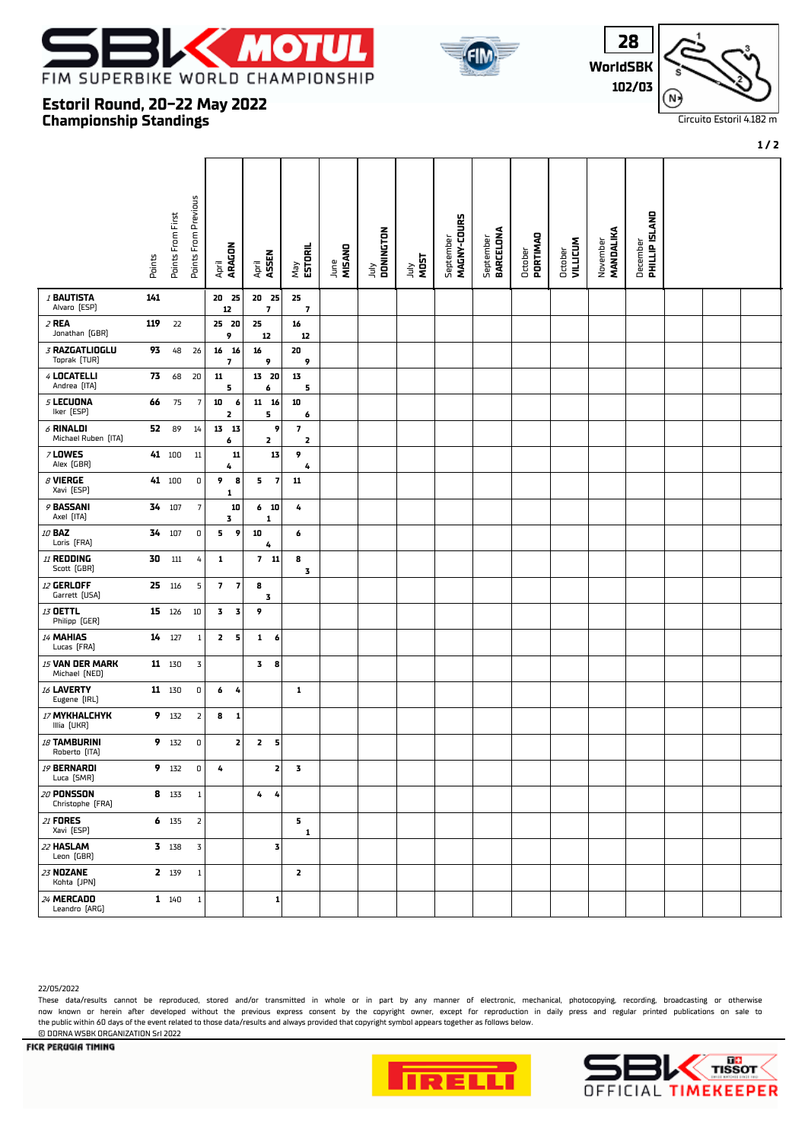





**1 / 2**

## **Championship Standings Estoril Round, 20-22 May 2022**

|                                    | Points | Points From First | <b>Points From Previous</b> | ARAGON<br>April                           | ASSEN<br>April                   | May<br><b>ESTORIL</b>                              | MISAND<br>June | July<br>DONINGTON | <b>TAILY</b><br>MOST | MAGNY-COURS<br>September | BARCELONA<br>September | October<br>PORTIMAO | October<br>VILLICUM | MANDALIKA<br>November | December<br><b>PHILLIP ISLAND</b> |  |  |
|------------------------------------|--------|-------------------|-----------------------------|-------------------------------------------|----------------------------------|----------------------------------------------------|----------------|-------------------|----------------------|--------------------------|------------------------|---------------------|---------------------|-----------------------|-----------------------------------|--|--|
| <b>/ BAUTISTA</b><br>Alvaro [ESP]  | 141    |                   |                             | 20 25<br>12                               | 20 25<br>$\overline{\mathbf{z}}$ | 25<br>$\overline{\phantom{a}}$                     |                |                   |                      |                          |                        |                     |                     |                       |                                   |  |  |
| 2 REA<br>Jonathan (GBR)            | 119    | 22                |                             | 25 20<br>9                                | 25<br>12                         | 16<br>12                                           |                |                   |                      |                          |                        |                     |                     |                       |                                   |  |  |
| 3 RAZGATLIOGLU<br>Toprak [TUR]     | 93     | 48                | 26                          | 16 16<br>7                                | 16<br>9                          | 20<br>9                                            |                |                   |                      |                          |                        |                     |                     |                       |                                   |  |  |
| 4 LOCATELLI<br>Andrea (ITA)        | 73     | 68                | 20                          | ${\bf 11}$<br>5                           | 13 20<br>6                       | 13<br>5                                            |                |                   |                      |                          |                        |                     |                     |                       |                                   |  |  |
| 5 LECUONA<br>Iker [ESP]            | 66     | 75                | 7                           | 10<br>6<br>2                              | $11$ $16$<br>5                   | 10<br>6                                            |                |                   |                      |                          |                        |                     |                     |                       |                                   |  |  |
| $6$ RINALDI<br>Michael Ruben [ITA] | 52     | 89                | 14                          | 13 13<br>6                                | 9<br>2                           | $\overline{\mathbf{z}}$<br>$\overline{\mathbf{z}}$ |                |                   |                      |                          |                        |                     |                     |                       |                                   |  |  |
| <b>7 LOWES</b><br>Alex [GBR]       |        | 41 100            | $11\,$                      | 11<br>4                                   | 13                               | 9<br>4                                             |                |                   |                      |                          |                        |                     |                     |                       |                                   |  |  |
| $\beta$ VIERGE<br>Xavi [ESP]       |        | 41 100            | $\mathsf{O}$                | 9<br>8<br>1                               | 5.<br>$\overline{\mathbf{z}}$    | 11                                                 |                |                   |                      |                          |                        |                     |                     |                       |                                   |  |  |
| 9 BASSANI<br>Axel [ITA]            | 34     | 107               | $\overline{7}$              | 10<br>3                                   | 6 <sub>10</sub><br>1             | 4                                                  |                |                   |                      |                          |                        |                     |                     |                       |                                   |  |  |
| 10 BAZ<br>Loris [FRA]              | 34     | 107               | 0                           | 5.<br>9                                   | 10<br>4                          | 6                                                  |                |                   |                      |                          |                        |                     |                     |                       |                                   |  |  |
| 11 REDDING<br>Scott (GBR)          | 30     | 111               | 4                           | 1                                         | $7$ 11                           | 8<br>3                                             |                |                   |                      |                          |                        |                     |                     |                       |                                   |  |  |
| 12 GERLOFF<br>Garrett [USA]        |        | 25 116            | 5                           | 7 <sup>7</sup><br>$\overline{\mathbf{z}}$ | 8<br>3                           |                                                    |                |                   |                      |                          |                        |                     |                     |                       |                                   |  |  |
| 13 OETTL<br>Philipp (GER)          |        | 15 126            | $10\,$                      | 3<br>3                                    | 9                                |                                                    |                |                   |                      |                          |                        |                     |                     |                       |                                   |  |  |
| 14 MAHIAS<br>Lucas [FRA]           |        | 14 127            | $\mathbf{1}$                | $\mathbf{z}$<br>- 5                       | $\mathbf{1}$<br>6                |                                                    |                |                   |                      |                          |                        |                     |                     |                       |                                   |  |  |
| 15 VAN DER MARK<br>Michael [NED]   |        | 11 130            | 3                           |                                           | 3<br>8                           |                                                    |                |                   |                      |                          |                        |                     |                     |                       |                                   |  |  |
| 16 LAVERTY<br>Eugene [IRL]         |        | 11 130            | 0                           | 6<br>4                                    |                                  | 1                                                  |                |                   |                      |                          |                        |                     |                     |                       |                                   |  |  |
| 17 MYKHALCHYK<br>Illia [UKR]       |        | 9 132             | $\overline{2}$              | 8<br>$\mathbf{1}$                         |                                  |                                                    |                |                   |                      |                          |                        |                     |                     |                       |                                   |  |  |
| 18 TAMBURINI<br>Roberto [ITA]      |        | 9 132             | 0                           | 2                                         | $\mathbf{z}$<br>5                |                                                    |                |                   |                      |                          |                        |                     |                     |                       |                                   |  |  |
| 19 BERNARDI<br>Luca [SMR]          |        | 9 132             | $\mathbf 0$                 | 4                                         | $\mathbf{z}$                     | $\overline{\mathbf{3}}$                            |                |                   |                      |                          |                        |                     |                     |                       |                                   |  |  |
| 20 PONSSON<br>Christophe [FRA]     |        | 8 133             | $\mathbf{1}$                |                                           | 4<br>4                           |                                                    |                |                   |                      |                          |                        |                     |                     |                       |                                   |  |  |
| 21 FORES<br>Xavi [ESP]             |        | $6$ 135           | $\overline{\mathbf{2}}$     |                                           |                                  | 5.<br>1                                            |                |                   |                      |                          |                        |                     |                     |                       |                                   |  |  |
| 22 HASLAM<br>Leon (GBR)            |        | 3 138             | 3                           |                                           | 3                                |                                                    |                |                   |                      |                          |                        |                     |                     |                       |                                   |  |  |
| 23 NOZANE<br>Kohta [JPN]           |        | 2 139             | $\,1$                       |                                           |                                  | 2                                                  |                |                   |                      |                          |                        |                     |                     |                       |                                   |  |  |
| 24 MERCADO<br>Leandro [ARG]        |        | $1 \t140$         | $\mathbf{1}$                |                                           | $\mathbf{1}$                     |                                                    |                |                   |                      |                          |                        |                     |                     |                       |                                   |  |  |

22/05/2022

These data/results cannot be reproduced, stored and/or transmitted in whole or in part by any manner of electronic, mechanical, photocopying, recording, broadcasting or otherwise now known or herein afer developed without the previous express consent by the copyright owner, except for reproduction in daily press and regular printed publications on sale to the public within 60 days of the event related to those data/results and always provided that copyright symbol appears together as follows below. © DORNA WSBK ORGANIZATION Srl 2022



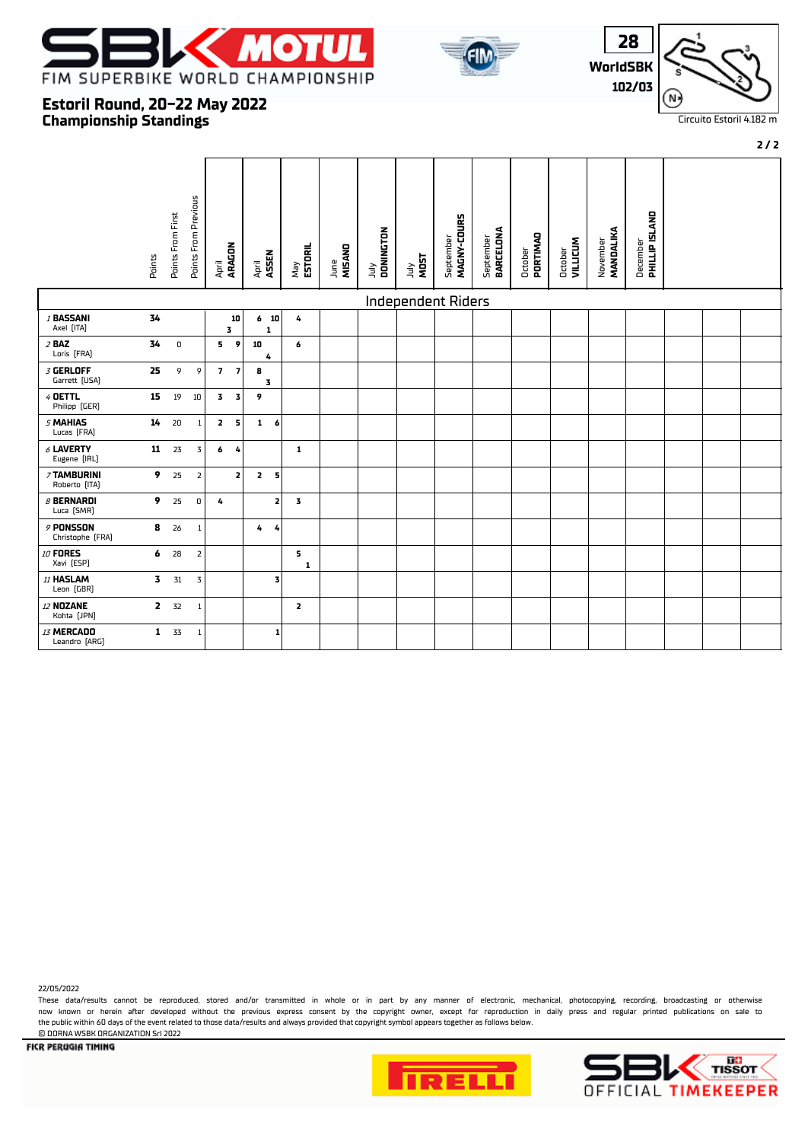





**2 / 2**

## **Championship Standings Estoril Round, 20-22 May 2022**

|                                 | Points                  | Points From First | Points From Previous | April<br><b>ARAGON</b>  |                | April<br>ASSEN |              | May<br><b>ESTORIL</b> | MISAND<br>June | DONINGTON<br>ylnr | <b>TADA<br/>MOST</b> | MAGNY-COURS<br>September | September<br><b>BARCELONA</b> | October<br><b>PORTIMAD</b> | <b>VILLICUM</b><br>October | MANDALIKA<br>November | <b>PHILLIP ISLAND</b><br>December |  |  |
|---------------------------------|-------------------------|-------------------|----------------------|-------------------------|----------------|----------------|--------------|-----------------------|----------------|-------------------|----------------------|--------------------------|-------------------------------|----------------------------|----------------------------|-----------------------|-----------------------------------|--|--|
|                                 |                         |                   |                      |                         |                |                |              |                       |                |                   | Independent Riders   |                          |                               |                            |                            |                       |                                   |  |  |
| / BASSANI<br>Axel [ITA]         | 34                      |                   |                      |                         | 10<br>3        |                | $6$ 10<br>1  | 4                     |                |                   |                      |                          |                               |                            |                            |                       |                                   |  |  |
| $2$ BAZ<br>Loris [FRA]          | 34                      | $\,$ 0            |                      | 5                       | $\overline{9}$ | 10             | 4            | 6                     |                |                   |                      |                          |                               |                            |                            |                       |                                   |  |  |
| $3$ GERLOFF<br>Garrett [USA]    | 25                      | 9                 | 9                    |                         | 7 <sub>7</sub> | 8<br>3         |              |                       |                |                   |                      |                          |                               |                            |                            |                       |                                   |  |  |
| 4 DETTL<br>Philipp (GER)        | 15                      | 19                | 10                   | $\overline{\mathbf{3}}$ | 3              | 9              |              |                       |                |                   |                      |                          |                               |                            |                            |                       |                                   |  |  |
| 5 MAHIAS<br>Lucas [FRA]         | 14                      | 20                | $\mathbf{1}$         | $\overline{2}$          | 5              | $\mathbf{1}$   | 6            |                       |                |                   |                      |                          |                               |                            |                            |                       |                                   |  |  |
| $6$ LAVERTY<br>Eugene [IRL]     | 11                      | 23                | $\mathbf 3$          | 6                       | 4              |                |              | 1                     |                |                   |                      |                          |                               |                            |                            |                       |                                   |  |  |
| 7 TAMBURINI<br>Roberto [ITA]    | 9                       | 25                | $\overline{2}$       |                         | 2              | $\overline{2}$ | 5            |                       |                |                   |                      |                          |                               |                            |                            |                       |                                   |  |  |
| $\beta$ BERNARDI<br>Luca [SMR]  | 9                       | 25                | $\mathsf D$          | 4                       |                |                | $\mathbf{z}$ | 3                     |                |                   |                      |                          |                               |                            |                            |                       |                                   |  |  |
| $9$ PONSSON<br>Christophe [FRA] | 8                       | 26                | $\mathbf{1}$         |                         |                | 4              | 4            |                       |                |                   |                      |                          |                               |                            |                            |                       |                                   |  |  |
| 10 FORES<br>Xavi [ESP]          | 6                       | 28                | $\overline{2}$       |                         |                |                |              | 5<br>$\mathbf{1}$     |                |                   |                      |                          |                               |                            |                            |                       |                                   |  |  |
| 11 HASLAM<br>Leon (GBR)         | $\overline{\mathbf{3}}$ | 31                | 3                    |                         |                |                | 3            |                       |                |                   |                      |                          |                               |                            |                            |                       |                                   |  |  |
| 12 NOZANE<br>Kohta [JPN]        | $\mathbf{z}$            | 32                | $\mathbf{1}$         |                         |                |                |              | $\overline{2}$        |                |                   |                      |                          |                               |                            |                            |                       |                                   |  |  |
| 13 MERCADO<br>Leandro [ARG]     | $\mathbf{1}$            | 33                | $\mathbf{1}$         |                         |                |                | 1            |                       |                |                   |                      |                          |                               |                            |                            |                       |                                   |  |  |

22/05/2022

These data/results cannot be reproduced, stored and/or transmitted in whole or in part by any manner of electronic, mechanical, photocopying, recording, broadcasting or otherwise now known or herein afer developed without the previous express consent by the copyright owner, except for reproduction in daily press and regular printed publications on sale to the public within 60 days of the event related to those data/results and always provided that copyright symbol appears together as follows below. © DORNA WSBK ORGANIZATION Srl 2022





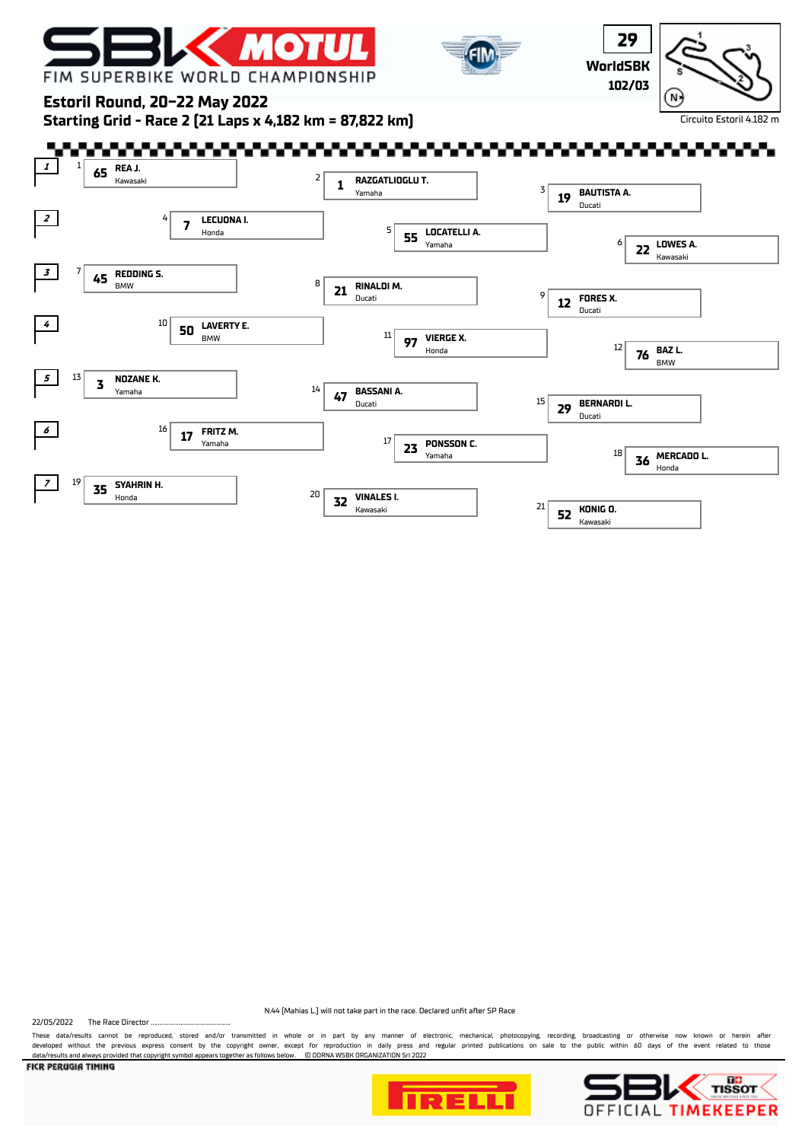





**Estoril Round, 20-22 May 2022**

**Starting Grid - Race 2 (21 Laps x 4,182 km = 87,822 km)**



N.44 (Mahias L.) will not take part in the race. Declared unft afer SP Race

22/05/2022 The Race Director

These data/results cannot be reproduced, stored and/or transmitted in whole or in part by any manner of electronic, mechanical, photocopying, recording, broadcasting or otherwise now known or herein after<br>developed without data/results and always provided that copyright symbol appears together as follows below. © DORNA WSBK ORGANIZATION Srl 2022





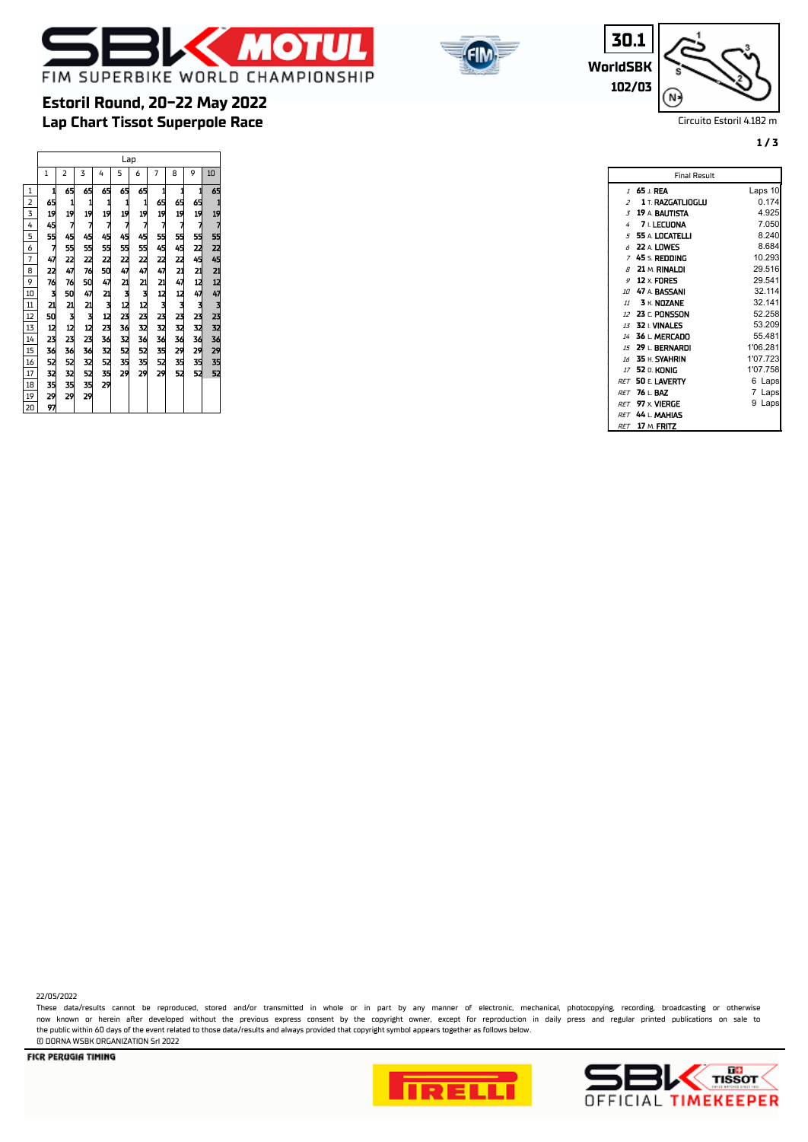



**WorldSBK 30.1 102/03**

 $\Gamma$ 

N.

Circuito Estoril 4.182 m

**1 / 3**

# **Lap Chart Tissot Superpole Race Estoril Round, 20-22 May 2022**

|                 |              |                                                    |                            |    | Lap                  |                                                  |                |                                          |                                                |                      |
|-----------------|--------------|----------------------------------------------------|----------------------------|----|----------------------|--------------------------------------------------|----------------|------------------------------------------|------------------------------------------------|----------------------|
|                 | $\mathbf{1}$ | 2                                                  | 3                          | 4  | 5                    | 6                                                | $\overline{7}$ | 8                                        | 9                                              | 10                   |
| $\mathbf{1}$    |              |                                                    | 65                         | 65 | 65                   |                                                  |                |                                          | 1                                              | 65                   |
| $\overline{2}$  |              |                                                    |                            |    |                      |                                                  |                |                                          |                                                |                      |
| $\overline{3}$  |              |                                                    |                            |    |                      |                                                  |                |                                          |                                                |                      |
| 4               |              |                                                    |                            |    |                      |                                                  |                |                                          |                                                |                      |
| 5               |              |                                                    |                            |    |                      |                                                  |                |                                          |                                                |                      |
| 6               |              |                                                    |                            |    |                      |                                                  |                |                                          |                                                |                      |
| $\overline{1}$  |              |                                                    |                            |    |                      |                                                  |                |                                          |                                                |                      |
| 8               |              |                                                    |                            |    |                      |                                                  |                |                                          |                                                |                      |
| 9               |              |                                                    |                            |    |                      |                                                  |                |                                          |                                                |                      |
| 10              |              |                                                    |                            |    |                      |                                                  |                |                                          |                                                |                      |
| $\overline{11}$ |              |                                                    |                            |    |                      |                                                  |                |                                          |                                                |                      |
| $\overline{12}$ |              |                                                    |                            |    |                      |                                                  |                |                                          |                                                |                      |
| $\overline{13}$ |              |                                                    |                            |    |                      |                                                  |                |                                          |                                                |                      |
| $\overline{14}$ |              |                                                    |                            |    |                      |                                                  |                |                                          |                                                |                      |
| $\overline{15}$ |              |                                                    |                            |    | 11274524213123361235 | 65 1 12 7 45 15 22 47 21 79 22 23 23 23 23 23 24 |                | 1.65 15 15 45 22 21 47 12 13 23 24 25 29 | 65 15 7 55 22 45 21 12 47 13 23 23 24 25 26 27 | 11275241247323342552 |
| 16              |              |                                                    |                            |    |                      |                                                  |                | 35<br>52                                 |                                                |                      |
| 17              |              |                                                    |                            |    | 29                   |                                                  |                |                                          |                                                |                      |
| 18              |              | 45 1 12 7 45 13 24 74 15 21 7 12 23 34 52 32 33 32 | 11274527650421312235131329 |    |                      |                                                  |                |                                          |                                                |                      |
| 19              |              |                                                    |                            |    |                      |                                                  |                |                                          |                                                |                      |
| 20              | 97           |                                                    |                            |    |                      |                                                  |                |                                          |                                                |                      |

| $\mathcal I$             | 65 I.REA                 | Laps 10   |
|--------------------------|--------------------------|-----------|
| $\overline{\phantom{a}}$ | <b>1 T. RAZGATLIOGLU</b> | 0.174     |
|                          | $3$ 19 A BAUTISTA        | 4.925     |
| 4                        | 7 L LECUONA              | 7.050     |
|                          | $5$ 55 A LOCATELLI       | 8.240     |
| 6                        | 22 A. LOWES              | 8.684     |
| $\overline{z}$           | 45 s. Redding            | 10.293    |
|                          | $\beta$ 21 m. RINALDI    | 29.516    |
| 9                        | 12 $\times$ FORES        | 29.541    |
|                          | 10 47 A. BASSANI         | 32.114    |
|                          | $11$ 3 K. NOZANE         | 32.141    |
|                          | 12 23 r. PONSSON         | 52.258    |
|                          | 13 32 L VINALES          | 53.209    |
|                          | 14 36 L. MERCADO         | 55.481    |
|                          | 15 29   BERNARDI         | 1'06.281  |
|                          | 16 35 H. SYAHRIN         | 1'07.723  |
|                          | 77 52 n. KONIG           | 1'07.758  |
| <b>RFT</b>               | 50 F. LAVERTY            | 6 Laps    |
| <b>RFT</b>               | 76 L.BAZ                 | 7 Laps    |
|                          | <i>RFT</i> 97 x VIERGE   | 9<br>Laps |
|                          | RET 44 L. MAHIAS         |           |
|                          | <i>RET</i> 17 M. FRITZ   |           |

Final Result

22/05/2022

These data/results cannot be reproduced, stored and/or transmitted in whole or in part by any manner of electronic, mechanical, photocopying, recording, broadcasting or otherwise now known or herein afer developed without the previous express consent by the copyright owner, except for reproduction in daily press and regular printed publications on sale to the public within 60 days of the event related to those data/results and always provided that copyright symbol appears together as follows below. © DORNA WSBK ORGANIZATION Srl 2022



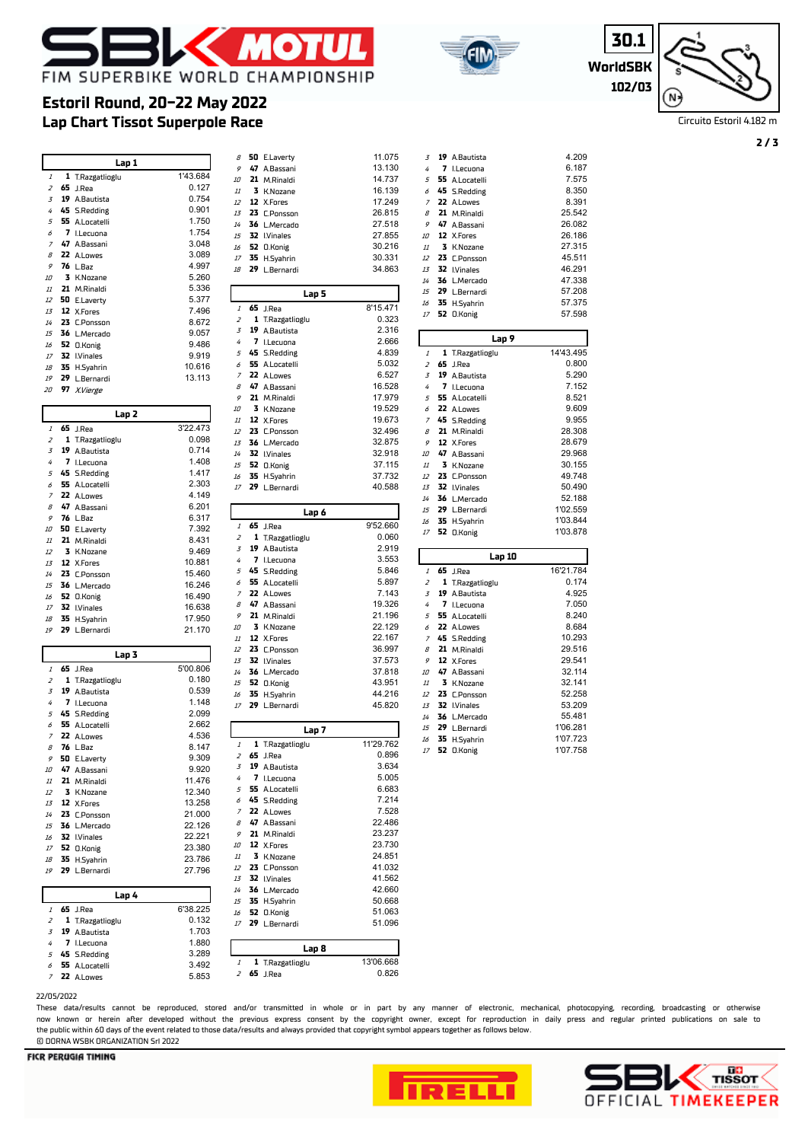

**Estoril Round, 20-22 May 2022**



**WorldSB 30. 102/** 

| I  |  |
|----|--|
| 3K |  |
| 03 |  |

Circuito Estoril 4.182 m

|          | Lap 1                         |                  | 8            |
|----------|-------------------------------|------------------|--------------|
| 1        | T.Razgatlioglu                | 1'43.684         |              |
| 65       | J.Rea                         | 0.127            | 10<br>$11\,$ |
| 19       | A.Bautista                    | 0.754            | 12           |
| 45       | <b>S.Redding</b>              | 0.901            | 13           |
| 55       | A.Locatelli                   | 1.750            | 14           |
| 7        | I.Lecuona                     | 1.754            | 15           |
| 47       | A.Bassani                     | 3.048            | 16           |
| 22<br>76 | A.Lowes<br>L.Baz              | 3.089<br>4.997   | 17           |
| 3        | K.Nozane                      | 5.260            | 18           |
| 21       | M.Rinaldi                     | 5.336            |              |
| 50       | E.Laverty                     | 5.377            |              |
| 12       | X.Fores                       | 7.496            |              |
| 23       | <b>C.Ponsson</b>              | 8.672            |              |
| 36       | L.Mercado                     | 9.057            |              |
| 52       | 0.Konig                       | 9.486            |              |
| 32       | I.Vinales                     | 9.919            |              |
| 35<br>29 | H.Syahrin                     | 10.616<br>13.113 |              |
| 97       | L.Bernardi<br>X.Vierge        |                  |              |
|          |                               |                  |              |
|          | Lap 2                         |                  | 10           |
| 65       | J.Rea                         | 3'22.473         |              |
| 1        | T.Razgatlioglu                | 0.098            | 13           |
| 19       | A.Bautista                    | 0.714            |              |
| 7        | I.Lecuona                     | 1.408            |              |
| 45       | <b>S.Redding</b>              | 1.417            |              |
| 55       | A.Locatelli                   | 2.303            |              |
| 22       | A.Lowes                       | 4.149            |              |
| 47<br>76 | A.Bassani                     | 6.201<br>6.317   |              |
| 50       | L.Baz<br>E.Laverty            | 7.392            |              |
| 21       | M.Rinaldi                     | 8.431            |              |
| 3        | K.Nozane                      | 9.469            |              |
| 12       | X.Fores                       | 10.881           |              |
| 23       | C.Ponsson                     | 15.460           |              |
| 36       | L.Mercado                     | 16.246           |              |
| 52       | <b>O.Konig</b>                | 16.490           |              |
| 32       | <b>I</b> .Vinales             | 16.638           |              |
| 35<br>29 | H.Syahrin<br>L.Bernardi       | 17.950<br>21.170 | 10           |
|          |                               |                  |              |
|          | Lap 3                         |                  | 12           |
| 65       | J.Rea                         | 5'00.806         | 13<br>14     |
| 1        | T.Razgatlioglu                | 0.180            | 15           |
| 19       | A.Bautista                    | 0.539            | 16           |
| 7        | I.Lecuona                     | 1.148            |              |
| 45       | <b>S.Redding</b>              | 2.099            |              |
| 55       | A.Locatelli                   | 2.662            |              |
|          | 22 A.Lowes<br><b>76</b> L.Baz | 4.536<br>8.147   |              |
|          | 50 E.Laverty                  | 9.309            |              |
|          | 47 A.Bassani                  | 9.920            |              |
|          | 21 M.Rinaldi                  | 11.476           |              |
|          | 3 K.Nozane                    | 12.340           |              |
|          | 12 X.Fores                    | 13.258           |              |
|          | 23 C.Ponsson                  | 21.000           |              |
|          | 36 L.Mercado                  | 22.126           |              |
|          | 32 I.Vinales                  | 22.221           |              |
|          | 52 O.Konig                    | 23.380           | 10           |
|          | 35 H.Syahrin                  | 23.786           | 12           |
|          | 29 L.Bernardi                 | 27.796           | 13           |
|          | Lap 4                         |                  | $14\,$       |
|          | 65 J.Rea                      | 6'38.225         | 15           |
|          | 1 T.Razgatlioglu              | 0.132            | 16           |
|          | 19 A.Bautista                 | 1.703            | $17\,$       |
|          | 7 I.Lecuona                   | 1.880            |              |
|          | 45 S.Redding                  | 3.289            |              |
|          | 55 A.Locatelli                | 3.492            |              |
|          | 22 A.Lowes                    | 5.853            |              |

| 8              | 50       | E.Laverty             |       | 11.075           |
|----------------|----------|-----------------------|-------|------------------|
| 9              | 47       | A.Bassani             |       | 13.130           |
| 10             | 21       | M.Rinaldi             |       | 14.737           |
| $\it 11$       | 3        | K.Nozane              |       | 16.139           |
| 12             | 12       | X.Fores               |       | 17.249           |
| 13             | 23       | <b>C.Ponsson</b>      |       | 26.815           |
| 14             | 36       | L.Mercado             |       | 27.518           |
| 15             | 32       | <b>I.Vinales</b>      |       | 27.855           |
| 16             | 52       | 0.Konig               |       | 30.216           |
| 17             | 35       | H.Syahrin             |       | 30.331           |
| 18             | 29       | L.Bernardi            |       | 34.863           |
|                |          |                       | Lap 5 |                  |
| 1              | 65       | J.Rea                 |       | 8'15.471         |
| 2              | 1        | T.Razgatlioglu        |       | 0.323            |
| 3              | 19       | A.Bautista            |       | 2.316            |
| 4              | 7        | I.Lecuona             |       | 2.666            |
| 5              | 45       | <b>S.Redding</b>      |       | 4.839            |
| 6              | 55       | A.Locatelli           |       | 5.032            |
| 7              | 22       | A.Lowes               |       | 6.527            |
| 8              | 47       | A.Bassani             |       | 16.528           |
| 9              | 21       | M.Rinaldi             |       | 17.979           |
| 10             | 3        | K.Nozane              |       | 19.529           |
| 11             | 12       | X.Fores               |       | 19.673           |
| 12             | 23       | C.Ponsson             |       | 32.496           |
| 13             | 36       | L.Mercado             |       | 32.875           |
| 14             | 32       | <b>I.Vinales</b>      |       | 32.918           |
| 15             | 52       | 0.Konig               |       | 37.115           |
| 16             | 35       | H.Syahrin             |       | 37.732           |
| 17             | 29       | L.Bernardi            |       | 40.588           |
|                |          |                       | Lap 6 |                  |
| 1              | 65       | J.Rea                 |       | 9'52.660         |
| 2              | 1        | T.Razgatlioglu        |       | 0.060            |
| 3              | 19       | A.Bautista            |       | 2.919            |
| 4              | 7        | I.Lecuona             |       | 3.553            |
| 5              | 45       | <b>S.Redding</b>      |       | 5.846            |
| 6              | 55       | A.Locatelli           |       | 5.897            |
| $\overline{z}$ | 22       | A.Lowes               |       | 7.143            |
| 8              | 47       | A.Bassani             |       | 19.326           |
| 9              | 21       | M.Rinaldi             |       | 21.196           |
| 10             | 3        | K.Nozane              |       | 22.129           |
| 11             | 12       | X.Fores               |       | 22.167           |
| 12             | 23       | C.Ponsson             |       | 36.997           |
| 13             | 32       | <b>I.Vinales</b>      |       | 37.573           |
| 14             | 36       | L.Mercado             |       | 37.818           |
| 15             | 52       | <b>O.Konig</b>        |       | 43.951           |
| 16             | 35<br>29 | H.Syahrin             |       | 44.216           |
| 17             |          | L.Bernardi            |       | 45.820           |
|                |          |                       | Lap 7 |                  |
| 1              | 1        | T.Razgatlioglu        |       | 11'29.762        |
| 2              |          | 65 J.Rea              |       | 0.896            |
| 3              | 19       | A.Bautista            |       | 3.634            |
| 4              | 7        | I.Lecuona             |       | 5.005            |
| 5              | 55       | A.Locatelli           |       | 6.683            |
| 6              |          | 45 S.Redding          |       | 7.214            |
| 7              | 22       | A.Lowes               |       | 7.528            |
| 8              | 47       | A.Bassani             |       | 22.486           |
| 9              | 21<br>12 | M.Rinaldi             |       | 23.237           |
| 10             |          | X.Fores               |       | 23.730           |
| 11             | 3        | K.Nozane              |       | 24.851           |
| 12             | 23       | C.Ponsson             |       | 41.032           |
| 13             | 32       | l.Vinales             |       | 41.562           |
| $14$           | 36       | L.Mercado             |       | 42.660           |
| 15             | 35       | H.Syahrin             |       | 50.668           |
| 16<br>17       | 52<br>29 | 0.Konig<br>L.Bernardi |       | 51.063<br>51.096 |
|                |          |                       |       |                  |
|                |          |                       | Lap 8 |                  |
| 1              | 1        | T.Razgatlioglu        |       | 13'06.668        |
| 2              |          | 65 J.Rea              |       | 0.826            |

| 4                        | 7        | I.Lecuona                   | 6.187                |
|--------------------------|----------|-----------------------------|----------------------|
| 5                        | 55       | A.Locatelli                 | 7.575                |
| 6                        | 45       | <b>S.Redding</b>            | 8.350                |
| $\overline{z}$           | 22       | A.Lowes                     | 8.391                |
| B                        | 21       | M.Rinaldi                   | 25.542               |
| 9                        | 47       | A.Bassani                   | 26.082               |
| 10                       | 12       | X.Fores                     | 26.186               |
| 11                       | 3        | K.Nozane                    | 27.315               |
| 12                       | 23       | C.Ponsson                   | 45.511               |
| 13                       | 32       | <b>I</b> .Vinales           | 46.291               |
| 14                       | 36       | L.Mercado                   | 47.338               |
| 15                       | 29       | L.Bernardi                  | 57.208               |
| 16                       | 35       | H.Syahrin                   | 57.375               |
| 17                       | 52       | 0.Konig                     | 57.598               |
|                          |          |                             |                      |
|                          |          | Lap 9                       |                      |
|                          |          |                             |                      |
| 1                        | 1        | T.Razgatlioglu              | 14'43.495            |
| $\overline{z}$           | 65       | J.Rea                       | 0.800                |
| $\overline{3}$           | 19       | A.Bautista                  | 5.290                |
| 4                        | 7        | I.Lecuona                   | 7.152                |
| 5                        | 55       | A.Locatelli                 | 8.521                |
| 6                        | 22       | A.Lowes                     | 9.609                |
| $\overline{z}$           | 45       | <b>S.Redding</b>            | 9.955                |
| $\overline{\mathcal{S}}$ |          | 21 M.Rinaldi                | 28.308               |
| 9                        |          | 12 X.Fores                  | 28.679               |
| 10                       | 47       | A.Bassani                   | 29.968               |
| 11                       | 3        | K.Nozane                    | 30.155               |
| 12                       | 23       | C.Ponsson                   | 49.748               |
| 13                       | 32       | <b>I</b> .Vinales           | 50.490               |
| 14                       | 36       | L.Mercado                   | 52.188               |
| 15                       | 29       | L.Bernardi                  | 1'02.559             |
| 16<br>17                 | 35<br>52 | H.Syahrin<br><b>O.Konig</b> | 1'03.844<br>1'03.878 |

**19** A.Bautista 4.209

|                |    | Lap 10            |           |
|----------------|----|-------------------|-----------|
| $\mathcal I$   |    | <b>65</b> J.Rea   | 16'21.784 |
| $\overline{z}$ | 1  | T.Razgatlioglu    | 0.174     |
| $\overline{5}$ | 19 | A.Bautista        | 4.925     |
| 4              | 7  | I.Lecuona         | 7.050     |
| 5              |    | 55 A.Locatelli    | 8.240     |
| 6              |    | 22 A.Lowes        | 8.684     |
| $\overline{z}$ |    | 45 S.Redding      | 10.293    |
| $\mathcal{R}$  | 21 | M.Rinaldi         | 29.516    |
| 9              |    | 12 X.Fores        | 29.541    |
| $1 \Omega$     | 47 | A.Bassani         | 32.114    |
| 11             | 3  | K.Nozane          | 32.141    |
| 12             | 23 | C.Ponsson         | 52.258    |
| 13             | 32 | <b>I</b> .Vinales | 53.209    |
| 14             | 36 | L.Mercado         | 55.481    |
| 15             | 29 | L.Bernardi        | 1'06.281  |
| 16             | 35 | H.Syahrin         | 1'07.723  |
| 17             | 52 | 0.Konig           | 1'07.758  |

nnd/or transmitted in whole or in part by any manner of electronic, mechanical, photocopying, recording, broadcasting or otherwise now known or herein afer developed without the previous express consent by the copyright owner, except for reproduction in daily press and regular printed publications on sale to the public within 60 days of the event related to those data/results and always provided that copyright symbol appears together as follows below. © DORNA WSBK ORGANIZATION Srl 2022



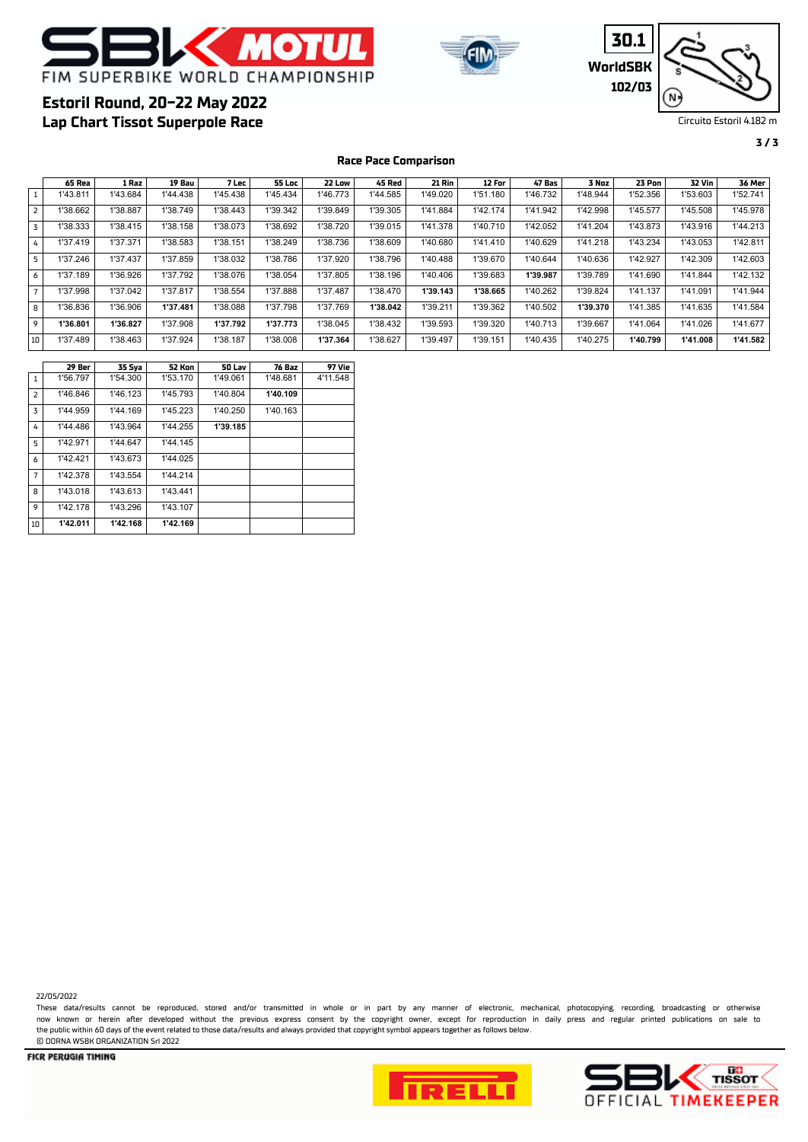





**3 / 3**

# **Lap Chart Tissot Superpole Race Estoril Round, 20-22 May 2022**

**Race Pace Comparison**

|                | 65 Rea   | 1 Raz    | 19 Bau   | 7 Lec    | 55 Loc   | 22 Low   | 45 Red   | <b>21 Rin</b> | 12 For   | 47 Bas   | 3 Noz    | 23 Pon   | <b>32 Vin</b> | 36 Mer   |
|----------------|----------|----------|----------|----------|----------|----------|----------|---------------|----------|----------|----------|----------|---------------|----------|
|                | 1'43.811 | 1'43.684 | 1'44.438 | 1'45.438 | 1'45.434 | 1'46.773 | 1'44.585 | 1'49.020      | 1'51.180 | 1'46.732 | 1'48.944 | 1'52.356 | 1'53.603      | 1'52.741 |
| $\overline{2}$ | 1'38.662 | 1'38.887 | 1'38.749 | 1'38.443 | 1'39.342 | 1'39.849 | 1'39.305 | 1'41.884      | 1'42.174 | 1'41.942 | 1'42.998 | 1'45.577 | 1'45.508      | 1'45.978 |
| 3              | 1'38.333 | 1'38.415 | 1'38.158 | 1'38.073 | 1'38.692 | 1'38.720 | 1'39.015 | 1'41.378      | 1'40.710 | 1'42.052 | 1'41.204 | 1'43.873 | 1'43.916      | 1'44.213 |
| 4              | 1'37.419 | 1'37.371 | 1'38.583 | 1'38.151 | 1'38.249 | 1'38.736 | 1'38.609 | 1'40.680      | 1'41.410 | 1'40.629 | 1'41.218 | 1'43.234 | 1'43.053      | 1'42.811 |
| 5              | 1'37.246 | 1'37.437 | 1'37.859 | 1'38.032 | 1'38.786 | 1'37.920 | 1'38.796 | 1'40.488      | 1'39.670 | 1'40.644 | 1'40.636 | 1'42.927 | 1'42.309      | 1'42.603 |
| 6              | 1'37.189 | 1'36.926 | 1'37.792 | 1'38.076 | 1'38.054 | 1'37.805 | 1'38.196 | 1'40.406      | 1'39.683 | 1'39.987 | 1'39.789 | 1'41.690 | 1'41.844      | 1'42.132 |
| $\overline{7}$ | 1'37.998 | 1'37.042 | 1'37.817 | 1'38.554 | 1'37.888 | 1'37.487 | 1'38.470 | 1'39.143      | 1'38.665 | 1'40.262 | 1'39.824 | 1'41.137 | 1'41.091      | 1'41.944 |
| 8              | 1'36.836 | 1'36.906 | 1'37.481 | 1'38.088 | 1'37.798 | 1'37.769 | 1'38.042 | 1'39.211      | 1'39.362 | 1'40.502 | 1'39.370 | 1'41.385 | 1'41.635      | 1'41.584 |
| 9              | 1'36.801 | 1'36.827 | 1'37.908 | 1'37.792 | 1'37.773 | 1'38.045 | 1'38.432 | 1'39.593      | 1'39.320 | 1'40.713 | 1'39.667 | 1'41.064 | 1'41.026      | 1'41.677 |
| 10             | 1'37.489 | 1'38.463 | 1'37.924 | 1'38.187 | 1'38.008 | 1'37.364 | 1'38.627 | 1'39.497      | 1'39.151 | 1'40.435 | 1'40.275 | 1'40.799 | 1'41.008      | 1'41.582 |

|                | 29 Ber   | 35 Sya   | 52 Kon   | 50 Lav   | 76 Baz   | 97 Vie   |
|----------------|----------|----------|----------|----------|----------|----------|
| $\mathbf{1}$   | 1'56.797 | 1'54.300 | 1'53.170 | 1'49.061 | 1'48.681 | 4'11.548 |
| $\overline{2}$ | 1'46.846 | 1'46.123 | 1'45.793 | 1'40.804 | 1'40.109 |          |
| 3              | 1'44.959 | 1'44.169 | 1'45.223 | 1'40.250 | 1'40.163 |          |
| 4              | 1'44.486 | 1'43.964 | 1'44.255 | 1'39.185 |          |          |
| 5              | 1'42.971 | 1'44.647 | 1'44.145 |          |          |          |
| 6              | 1'42.421 | 1'43.673 | 1'44.025 |          |          |          |
| $\overline{7}$ | 1'42.378 | 1'43.554 | 1'44.214 |          |          |          |
| 8              | 1'43.018 | 1'43.613 | 1'43.441 |          |          |          |
| 9              | 1'42.178 | 1'43.296 | 1'43.107 |          |          |          |
| 10             | 1'42.011 | 1'42.168 | 1'42.169 |          |          |          |

22/05/2022

These data/results cannot be reproduced, stored and/or transmitted in whole or in part by any manner of electronic, mechanical, photocopying, recording, broadcasting or otherwise now known or herein afer developed without the previous express consent by the copyright owner, except for reproduction in daily press and regular printed publications on sale to the public within 60 days of the event related to those data/results and always provided that copyright symbol appears together as follows below. © DORNA WSBK ORGANIZATION Srl 2022



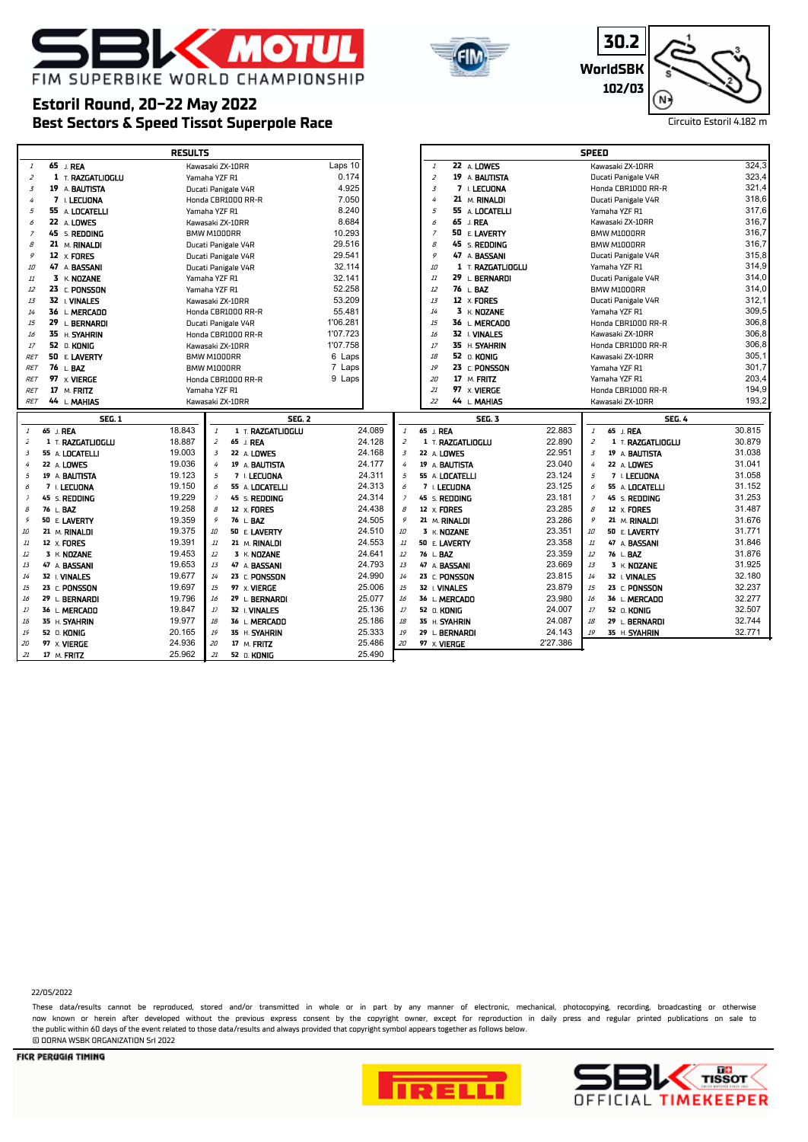



**30.2 WorldSBK 102/03**



# **Best Sectors & Speed Tissot Superpole Race** Circuito Estoril 4.182 m **Estoril Round, 20-22 May 2022**

|                |                      | <b>RESULTS</b>                              |                                    |                                      |          | <b>SPEED</b>                           |        |
|----------------|----------------------|---------------------------------------------|------------------------------------|--------------------------------------|----------|----------------------------------------|--------|
| $\mathbf{I}$   | 65 J. REA            | Kawasaki ZX-10RR                            | Laps 10                            | 22 A LOWES<br>$\mathcal{I}$          |          | Kawasaki ZX-10RR                       | 324,3  |
| $\overline{z}$ | $1$ T. RAZGATLIOGLU  | Yamaha YZF R1                               | 0.174                              | $\overline{z}$<br>19 A BAUTISTA      |          | Ducati Panigale V4R                    | 323,4  |
| $\overline{3}$ | 19 A BAUTISTA        | Ducati Panigale V4R                         | 4.925                              | $\overline{3}$<br>7 L LECUONA        |          | Honda CBR1000 RR-R                     | 321,4  |
| 4              | 7 I. LECUONA         | Honda CBR1000 RR-R                          | 7.050                              | 21 M. RINALDI<br>4                   |          | Ducati Panigale V4R                    | 318,6  |
| 5              | 55 A LOCATELLI       | Yamaha YZF R1                               | 8.240                              | 5<br>55 A LOCATELLI                  |          | Yamaha YZF R1                          | 317,6  |
| 6              | 22 A LOWES           | Kawasaki ZX-10RR                            | 8.684                              | 65 J. REA<br>6                       |          | Kawasaki ZX-10RR                       | 316,7  |
| $\overline{z}$ | 45 s. <b>REDDING</b> | BMW M1000RR                                 | 10.293                             | 50 E LAVERTY<br>$\overline{z}$       |          | BMW M1000RR                            | 316,7  |
| 8              | 21 M. RINALDI        | Ducati Panigale V4R                         | 29.516                             | 45 S. REDDING<br>$\mathcal{B}% _{0}$ |          | BMW M1000RR                            | 316,7  |
| 9              | 12 $\times$ FORES    | Ducati Panigale V4R                         | 29.541                             | 9<br>47 A BASSANI                    |          | Ducati Panigale V4R                    | 315,8  |
| 10             | 47 A BASSANI         | Ducati Panigale V4R                         | 32.114                             | 10<br>1 T. RAZGATLIOGLU              |          | Yamaha YZF R1                          | 314,9  |
| 11             | $3 K$ NOZANE         | Yamaha YZF R1                               | 32.141                             | 29 L. BERNARDI<br>11                 |          | Ducati Panigale V4R                    | 314,0  |
| 12             | 23 C. PONSSON        | Yamaha YZF R1                               | 52.258                             | 76 L.BAZ<br>12                       |          | BMW M1000RR                            | 314,0  |
| 13             | 32   VINALES         | Kawasaki ZX-10RR                            | 53.209                             | 13<br>12 x FORES                     |          | Ducati Panigale V4R                    | 312,1  |
| 14             | 36 L. MERCADO        | Honda CBR1000 RR-R                          | 55.481                             | 3 K NQZANE<br>14                     |          | Yamaha YZF R1                          | 309,5  |
| 15             | 29 L. BERNARDI       | Ducati Panigale V4R                         | 1'06.281                           | 36 L. MERCADO<br>15                  |          | Honda CBR1000 RR-R                     | 306,8  |
| 16             | 35 H. SYAHRIN        | Honda CBR1000 RR-R                          | 1'07.723                           | 32 I. VINALES<br>16                  |          | Kawasaki ZX-10RR                       | 306,8  |
| 17             | 52 0. KONIG          | Kawasaki ZX-10RR                            | 1'07.758                           | 17<br>35 H. SYAHRIN                  |          | Honda CBR1000 RR-R                     | 306,8  |
| <b>RET</b>     | 50 E. LAVERTY        | BMW M1000RR                                 | 6 Laps                             | 52 O. KONIG<br>18                    |          | Kawasaki ZX-10RR                       | 305,1  |
| <b>RET</b>     | 76 L.BAZ             | BMW M1000RR                                 | 7 Laps                             | 23 C. PONSSON<br>19                  |          | Yamaha YZF R1                          | 301,7  |
| <b>RET</b>     | 97 x VIERGE          | Honda CBR1000 RR-R                          | 9 Laps                             | 17 M. FRITZ<br>20                    |          | Yamaha YZF R1                          | 203,4  |
| <b>RET</b>     | 17 M. FRITZ          | Yamaha YZF R1                               |                                    | 97 x VIERGE<br>21                    |          | Honda CBR1000 RR-R                     | 194,9  |
| <b>RET</b>     | 44 L. MAHIAS         | Kawasaki ZX-10RR                            |                                    | 22<br>44 L. MAHIAS                   |          | Kawasaki ZX-10RR                       | 193,2  |
|                |                      |                                             |                                    |                                      |          |                                        |        |
|                | <b>SEG. 1</b>        | <b>SEG. 2</b>                               |                                    | <b>SEG. 3</b>                        |          | <b>SEG. 4</b>                          |        |
| $\mathbf{1}$   | 65 J. REA            | 18.843<br>1 T. RAZGATLIOGLU<br>$\mathbf{1}$ | 24.089<br>$\mathbf{1}$             | 65 J. REA                            | 22.883   | $\mathcal{I}$<br>65 J. REA             | 30.815 |
| 2              | 1 T. RAZGATLIOGLU    | 18.887<br>$\overline{z}$<br>65 J. REA       | 24.128<br>$\overline{z}$           | 1 T. RAZGATLIOGLU                    | 22.890   | $\overline{z}$<br>1 T. RAZGATLIOGLU    | 30.879 |
| 3              | 55 A. LOCATELLI      | 19.003<br>$\overline{3}$<br>22 A LOWES      | 24.168<br>$\overline{3}$           | 22 A. LOWES                          | 22.951   | 3<br>19 A BAUTISTA                     | 31.038 |
| 4              | 22 A. LOWES          | 19.036<br>19 A BAUTISTA<br>4                | 24.177<br>$\overline{4}$           | 19 A. BAUTISTA                       | 23.040   | 22 A LOWES<br>4                        | 31.041 |
| 5              | 19 A. BAUTISTA       | 19.123<br>5<br>7 I. LECUONA                 | 24.311<br>$\overline{5}$           | 55 A. LOCATELLI                      | 23.124   | 5<br>7 I. LECUONA                      | 31.058 |
| 6              | 7 I. LECUONA         | 19.150<br>55 A LOCATELLI<br>6               | 24.313<br>6                        | 7 I. LECUONA                         | 23.125   | 6<br>55 A <b>LOCATELLI</b>             | 31.152 |
| $\bar{z}$      | 45 S. REDDING        | 19.229<br>45 S. REDDING<br>$\overline{z}$   | 24.314<br>$\overline{\phantom{a}}$ | 45 S. REDDING                        | 23.181   | $\overline{z}$<br>45 S. <b>REDDING</b> | 31.253 |
| 8              | 76 L BAZ             | 19.258<br>8<br>12 X FORES                   | 24.438<br>$\mathcal S$             | 12 X FORES                           | 23.285   | 8<br>12 X FORES                        | 31.487 |
| 9              | 50 E LAVERTY         | 19.359<br>9<br>76 L. BAZ                    | 24.505<br>۶                        | 21 M. RINALDI                        | 23.286   | 9<br>21 M. RINALDI                     | 31.676 |
| 10             | 21 M. RINALDI        | 19.375<br>10<br>50 E. LAVERTY               | 24.510<br>10                       | 3 K. NOZANE                          | 23.351   | 10<br>50 E. LAVERTY                    | 31.771 |
| $11\,$         | 12 X FORES           | 19.391<br>11<br>21 M. RINALDI               | 24.553<br>$11\,$                   | 50 E. LAVERTY                        | 23.358   | 11<br>47 A BASSANI                     | 31.846 |
| $1\bar{z}$     | 3 K. NOZANE          | 19.453<br>12<br>3 K. NOZANE                 | 24.641<br>$1\bar{2}$               | 76 L. BAZ                            | 23.359   | $12\,$<br>76 L. BAZ                    | 31.876 |
| 13             | 47 A. BASSANI        | 19.653<br>13<br>47 A BASSANI                | 24.793<br>$13\,$                   | 47 A. BASSANI                        | 23.669   | 13<br>3 K. NOZANE                      | 31.925 |
| 14             | 32 I. VINALES        | 19.677<br>14<br>23 C. PONSSON               | 24.990<br>14                       | 23 C. PONSSON                        | 23.815   | 14<br>32 I. VINALES                    | 32.180 |
| 15             | 23 C. PONSSON        | 19.697<br>15<br>97 X. VIERGE                | 25.006<br>15                       | 32 I. VINALES                        | 23.879   | 15<br>23 C. PONSSON                    | 32.237 |
| 16             | 29 L BERNARDI        | 19.796<br>16<br>29 L. BERNARDI              | 25.077<br>16                       | 36 L. MERCADO                        | 23.980   | 16<br>36 L. MERCADO                    | 32.277 |
| $17$           | 36 L MERCADO         | 19.847<br>17<br>32 I. VINALES               | 25.136<br>$17\,$                   | 52 O. KONIG                          | 24.007   | 17<br>52 0. KONIG                      | 32.507 |
| 18             | 35 H. SYAHRIN        | 19.977<br>18<br>36 L. MERCADO               | 25.186<br>18                       | 35 H. SYAHRIN                        | 24.087   | 18<br>29 L. BERNARDI                   | 32.744 |
| 19             | 52 O. KONIG          | 20.165<br>19<br>35 H. SYAHRIN               | 25.333<br>19                       | 29 L. BERNARDI                       | 24.143   | 19<br>35 H. SYAHRIN                    | 32.771 |
| 20             | 97 X VIERGE          | 24.936<br>20<br>17 M. FRITZ                 | 25.486<br>20                       | 97 X. VIERGE                         | 2'27.386 |                                        |        |

22/05/2022

These data/results cannot be reproduced, stored and/or transmitted in whole or in part by any manner of electronic, mechanical, photocopying, recording, broadcasting or otherwise now known or herein afer developed without the previous express consent by the copyright owner, except for reproduction in daily press and regular printed publications on sale to the public within 60 days of the event related to those data/results and always provided that copyright symbol appears together as follows below. © DORNA WSBK ORGANIZATION Srl 2022





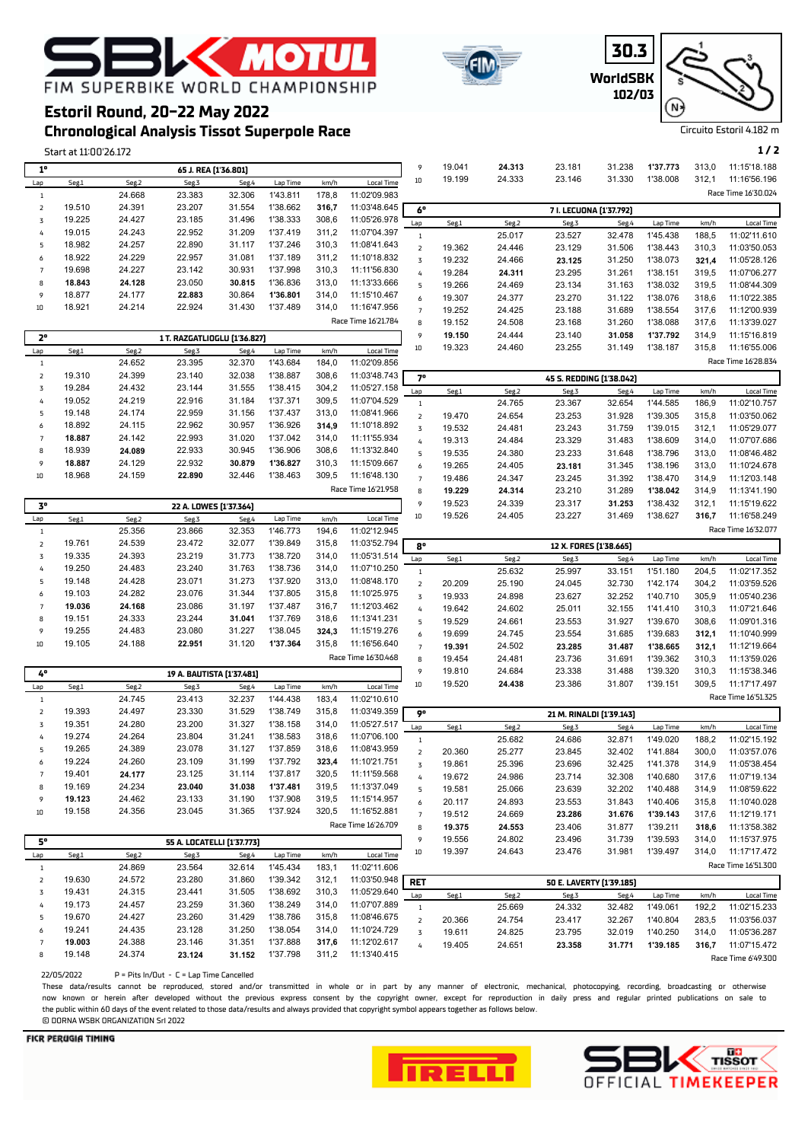





**Chronological Analysis Tissot Superpole Race**

**Estoril Round, 20-22 May 2022**

|                     | Start at 11:00'26.172 |                  |                              |                  |                      |                |                              |                  |        |        |                          |        |          |       | 1/2                                |
|---------------------|-----------------------|------------------|------------------------------|------------------|----------------------|----------------|------------------------------|------------------|--------|--------|--------------------------|--------|----------|-------|------------------------------------|
| $1^{\circ}$         |                       |                  | 65 J. REA [1'36.801]         |                  |                      |                |                              | 9                | 19.041 | 24.313 | 23.181                   | 31.238 | 1'37.773 | 313,0 | 11:15'18.188                       |
| Lap                 | Seg.1                 | Seg.2            | Seg.3                        | Seg.4            | Lap Time             | km/h           | <b>Local Time</b>            | $10\,$           | 19.199 | 24.333 | 23.146                   | 31.330 | 1'38.008 | 312,1 | 11:16'56.196                       |
| $1\,$               |                       | 24.668           | 23.383                       | 32.306           | 1'43.811             | 178,8          | 11:02'09.983                 |                  |        |        |                          |        |          |       | Race Time 16'30.024                |
| $\mathsf{2}$        | 19.510                | 24.391           | 23.207                       | 31.554           | 1'38.662             | 316,7          | 11:03'48.645                 |                  |        |        |                          |        |          |       |                                    |
| 3                   | 19.225                | 24.427           | 23.185                       | 31.496           | 1'38.333             | 308,6          | 11:05'26.978                 | 6°               |        |        | 7 I. LECUONA [1'37.792]  |        |          |       |                                    |
| 4                   | 19.015                | 24.243           | 22.952                       | 31.209           | 1'37.419             | 311,2          | 11:07'04.397                 | Lap              | Seg.1  | Seg.2  | Seg.3                    | Seg.4  | Lap Time | km/h  | <b>Local Time</b>                  |
| 5                   | 18.982                | 24.257           | 22.890                       | 31.117           | 1'37.246             | 310,3          | 11:08'41.643                 | $\mathbf{1}$     |        | 25.017 | 23.527                   | 32.478 | 1'45.438 | 188,5 | 11:02'11.610                       |
| 6                   | 18.922                | 24.229           | 22.957                       | 31.081           | 1'37.189             | 311,2          | 11:10'18.832                 | $\mathsf{Z}$     | 19.362 | 24.446 | 23.129                   | 31.506 | 1'38.443 | 310,3 | 11:03'50.053                       |
| $\overline{7}$      | 19.698                | 24.227           | 23.142                       | 30.931           | 1'37.998             | 310,3          | 11:11'56.830                 | 3                | 19.232 | 24.466 | 23.125                   | 31.250 | 1'38.073 | 321,4 | 11:05'28.126                       |
|                     | 18.843                | 24.128           | 23.050                       | 30.815           | 1'36.836             |                | 11:13'33.666                 | 4                | 19.284 | 24.311 | 23.295                   | 31.261 | 1'38.151 | 319,5 | 11:07'06.277                       |
| 8<br>9              | 18.877                | 24.177           |                              |                  |                      | 313,0          |                              | 5                | 19.266 | 24.469 | 23.134                   | 31.163 | 1'38.032 | 319,5 | 11:08'44.309                       |
|                     |                       |                  | 22.883                       | 30.864           | 1'36.801             | 314,0          | 11:15'10.467                 | 6                | 19.307 | 24.377 | 23.270                   | 31.122 | 1'38.076 | 318,6 | 11:10'22.385                       |
| 10                  | 18.921                | 24.214           | 22.924                       | 31.430           | 1'37.489             | 314,0          | 11:16'47.956                 | $\overline{7}$   | 19.252 | 24.425 | 23.188                   | 31.689 | 1'38.554 | 317,6 | 11:12'00.939                       |
|                     |                       |                  |                              |                  |                      |                | Race Time 16'21.784          | 8                | 19.152 | 24.508 | 23.168                   | 31.260 | 1'38.088 | 317,6 | 11:13'39.027                       |
| $2^{\circ}$         |                       |                  | 1 T. RAZGATLIOGLU [1'36.827] |                  |                      |                |                              | 9                | 19.150 | 24.444 | 23.140                   | 31.058 | 1'37.792 | 314,9 | 11:15'16.819                       |
| Lap                 | Seg.1                 | Seg.2            | Seg.3                        | Seg.4            | Lap Time             | km/h           | <b>Local Time</b>            | 10               | 19.323 | 24.460 | 23.255                   | 31.149 | 1'38.187 | 315,8 | 11:16'55.006                       |
| $\,1\,$             |                       | 24.652           | 23.395                       | 32.370           | 1'43.684             | 184,0          | 11:02'09.856                 |                  |        |        |                          |        |          |       | Race Time 16'28.834                |
| $\mathsf{Z}$        | 19.310                | 24.399           | 23.140                       | 32.038           | 1'38.887             | 308,6          | 11:03'48.743                 | $7^{\circ}$      |        |        | 45 S. REDDING [1'38.042] |        |          |       |                                    |
| $\overline{3}$      | 19.284                | 24.432           | 23.144                       | 31.555           | 1'38.415             | 304,2          | 11:05'27.158                 | Lap              | Seg.1  | Seg.2  | Seg.3                    | Seg.4  | Lap Time | km/h  | <b>Local Time</b>                  |
| 4                   | 19.052                | 24.219           | 22.916                       | 31.184           | 1'37.371             | 309,5          | 11:07'04.529                 | $\,1\,$          |        | 24.765 | 23.367                   | 32.654 | 1'44.585 | 186,9 | 11:02'10.757                       |
| 5                   | 19.148                | 24.174           | 22.959                       | 31.156           | 1'37.437             | 313,0          | 11:08'41.966                 | $\mathsf{Z}$     | 19.470 | 24.654 | 23.253                   | 31.928 | 1'39.305 | 315,8 | 11:03'50.062                       |
| 6                   | 18.892                | 24.115           | 22.962                       | 30.957           | 1'36.926             | 314,9          | 11:10'18.892                 | 3                | 19.532 | 24.481 | 23.243                   | 31.759 | 1'39.015 | 312,1 | 11:05'29.077                       |
| $\overline{7}$      | 18.887                | 24.142           | 22.993                       | 31.020           | 1'37.042             | 314,0          | 11:11'55.934                 | 4                | 19.313 | 24.484 | 23.329                   | 31.483 | 1'38.609 | 314,0 | 11:07'07.686                       |
| 8                   | 18.939                | 24.089           | 22.933                       | 30.945           | 1'36.906             | 308,6          | 11:13'32.840                 | 5                | 19.535 | 24.380 | 23.233                   | 31.648 | 1'38.796 | 313,0 | 11:08'46.482                       |
| 9                   | 18.887                | 24.129           | 22.932                       | 30.879           | 1'36.827             | 310,3          | 11:15'09.667                 | $\boldsymbol{6}$ | 19.265 | 24.405 | 23.181                   | 31.345 | 1'38.196 | 313,0 | 11:10'24.678                       |
| 10                  | 18.968                | 24.159           | 22.890                       | 32.446           | 1'38.463             | 309,5          | 11:16'48.130                 | $\overline{7}$   | 19.486 | 24.347 | 23.245                   | 31.392 | 1'38.470 | 314,9 | 11:12'03.148                       |
|                     |                       |                  |                              |                  |                      |                | Race Time 16'21.958          | 8                | 19.229 | 24.314 | 23.210                   | 31.289 | 1'38.042 | 314,9 | 11:13'41.190                       |
| $3^{\circ}$         |                       |                  |                              |                  |                      |                |                              | 9                | 19.523 | 24.339 | 23.317                   | 31.253 | 1'38.432 | 312,1 | 11:15'19.622                       |
|                     |                       |                  | 22 A. LOWES [1'37.364]       |                  |                      |                |                              | $10\,$           | 19.526 | 24.405 | 23.227                   | 31.469 | 1'38.627 | 316,7 | 11:16'58.249                       |
| Lap                 | Seg.1                 | Seg.2            | Seg.3                        | Seg.4            | Lap Time             | km/h           | <b>Local Time</b>            |                  |        |        |                          |        |          |       | Race Time 16'32.077                |
| $\,1\,$             |                       | 25.356           | 23.866                       | 32.353           | 1'46.773             | 194,6          | 11:02'12.945                 |                  |        |        |                          |        |          |       |                                    |
| $\mathsf{2}$        | 19.761                | 24.539           | 23.472                       | 32.077           | 1'39.849             | 315,8          | 11:03'52.794                 | 8°               |        |        | 12 X. FORES [1'38.665]   |        |          |       |                                    |
| 3                   | 19.335                | 24.393           | 23.219                       | 31.773           | 1'38.720             | 314,0          | 11:05'31.514                 | Lap              | Seg.1  | Seg.2  | Seg.3                    | Seg.4  | Lap Time | km/h  | <b>Local Time</b>                  |
| 4                   | 19.250                | 24.483           | 23.240                       | 31.763           | 1'38.736             | 314,0          | 11:07'10.250                 | $\mathbf{1}$     |        | 25.632 | 25.997                   | 33.151 | 1'51.180 | 204,5 | 11:02'17.352                       |
| 5                   | 19.148                | 24.428           | 23.071                       | 31.273           | 1'37.920             | 313,0          | 11:08'48.170                 | $\mathsf{2}$     | 20.209 | 25.190 | 24.045                   | 32.730 | 1'42.174 | 304,2 | 11:03'59.526                       |
| 6                   | 19.103                | 24.282           | 23.076                       | 31.344           | 1'37.805             | 315,8          | 11:10'25.975                 | $\overline{3}$   | 19.933 | 24.898 | 23.627                   | 32.252 | 1'40.710 | 305,9 | 11:05'40.236                       |
| $\overline{7}$      | 19.036                | 24.168           | 23.086                       | 31.197           | 1'37.487             | 316,7          | 11:12'03.462                 | 4                | 19.642 | 24.602 | 25.011                   | 32.155 | 1'41.410 | 310,3 | 11:07'21.646                       |
| 8                   | 19.151                | 24.333           | 23.244                       | 31.041           | 1'37.769             | 318,6          | 11:13'41.231                 | 5                | 19.529 | 24.661 | 23.553                   | 31.927 | 1'39.670 | 308,6 | 11:09'01.316                       |
| 9                   | 19.255                | 24.483           | 23.080                       | 31.227           | 1'38.045             | 324,3          | 11:15'19.276                 | 6                | 19.699 | 24.745 | 23.554                   | 31.685 | 1'39.683 | 312,1 | 11:10'40.999                       |
| 10                  | 19.105                | 24.188           | 22.951                       | 31.120           | 1'37.364             | 315,8          | 11:16'56.640                 | $\overline{7}$   | 19.391 | 24.502 | 23.285                   | 31.487 | 1'38.665 | 312,1 | 11:12'19.664                       |
|                     |                       |                  |                              |                  |                      |                | Race Time 16'30.468          | 8                | 19.454 | 24.481 | 23.736                   | 31.691 | 1'39.362 | 310,3 | 11:13'59.026                       |
| 4°                  |                       |                  | 19 A. BAUTISTA [1'37.481]    |                  |                      |                |                              | 9                | 19.810 | 24.684 | 23.338                   | 31.488 | 1'39.320 | 310,3 | 11:15'38.346                       |
| Lap                 | Seg.1                 | Seg.2            | Seg.3                        | Seg.4            | Lap Time             | km/h           | Local Time                   | 10               | 19.520 | 24.438 | 23.386                   | 31.807 | 1'39.151 | 309,5 | 11:17'17.497                       |
| $\,1\,$             |                       | 24.745           | 23.413                       | 32.237           | 1'44.438             | 183,4          | 11:02'10.610                 |                  |        |        |                          |        |          |       | Race Time 16'51.325                |
| $\mathsf{Z}$        | 19.393                | 24.497           | 23.330                       | 31.529           | 1'38.749             | 315,8          | 11:03'49.359                 | 9°               |        |        | 21 M. RINALDI [1'39.143] |        |          |       |                                    |
| 3                   | 19.351                | 24.280           | 23.200                       | 31.327           | 1'38.158             | 314,0          | 11:05'27.517                 | Lap              | Seg.1  | Seg.2  | Seg.3                    | Seg.4  | Lap Time | km/h  | Local Time                         |
| 4                   | 19.274                | 24.264           | 23.804                       | 31.241           | 1'38.583             | 318,6          | 11:07'06.100                 | $\mathbf{1}$     |        | 25.682 | 24.686                   | 32.871 | 1'49.020 | 188,2 | 11:02'15.192                       |
| 5                   | 19.265                | 24.389           | 23.078                       | 31.127           | 1'37.859             | 318,6          | 11:08'43.959                 | $\overline{2}$   | 20.360 | 25.277 | 23.845                   | 32.402 | 1'41.884 | 300,0 | 11:03'57.076                       |
| 6                   | 19.224                | 24.260           | 23.109                       | 31.199           | 1'37.792             | 323,4          | 11:10'21.751                 | 3                | 19.861 | 25.396 | 23.696                   | 32.425 | 1'41.378 | 314,9 | 11:05'38.454                       |
| $\overline{7}$      | 19.401                | 24.177           | 23.125                       | 31.114           | 1'37.817             | 320,5          | 11:11'59.568                 | 4                | 19.672 | 24.986 | 23.714                   | 32.308 | 1'40.680 | 317,6 | 11:07'19.134                       |
| 8                   | 19.169                | 24.234           | 23.040                       | 31.038           | 1'37.481             | 319,5          | 11:13'37.049                 | 5                | 19.581 | 25.066 | 23.639                   | 32.202 | 1'40.488 | 314,9 | 11:08'59.622                       |
| 9                   | 19.123                | 24.462           | 23.133                       | 31.190           | 1'37.908             | 319,5          | 11:15'14.957                 | 6                | 20.117 | 24.893 | 23.553                   | 31.843 | 1'40.406 | 315,8 | 11:10'40.028                       |
| $10\,$              | 19.158                | 24.356           | 23.045                       |                  |                      | 320,5          | 11:16'52.881                 | $\overline{7}$   | 19.512 | 24.669 | 23.286                   |        |          | 317,6 | 11:12'19.171                       |
|                     |                       |                  |                              | 31.365           | 1'37.924             |                |                              |                  |        |        |                          |        |          |       |                                    |
|                     |                       |                  |                              |                  |                      |                | Race Time 16'26.709          |                  |        |        |                          | 31.676 | 1'39.143 |       |                                    |
|                     |                       |                  |                              |                  |                      |                |                              | 8                | 19.375 | 24.553 | 23.406                   | 31.877 | 1'39.211 | 318,6 | 11:13'58.382                       |
| 5°                  |                       |                  | 55 A. LOCATELLI [1'37.773]   |                  |                      |                |                              | 9                | 19.556 | 24.802 | 23.496                   | 31.739 | 1'39.593 | 314,0 | 11:15'37.975                       |
| Lap                 | Seg.1                 | Seg.2            | Seg.3                        | Seg.4            | Lap Time             | km/h           | <b>Local Time</b>            | $10\,$           | 19.397 | 24.643 | 23.476                   | 31.981 | 1'39.497 | 314,0 | 11:17'17.472                       |
| $\,1$               |                       | 24.869           | 23.564                       | 32.614           | 1'45.434             | 183,1          | 11:02'11.606                 |                  |        |        |                          |        |          |       | Race Time 16'51.300                |
| $\mathsf{Z}$        | 19.630                | 24.572           | 23.280                       | 31.860           | 1'39.342             | 312,1          | 11:03'50.948                 | <b>RET</b>       |        |        | 50 E. LAVERTY [1'39.185] |        |          |       |                                    |
| 3                   | 19.431                | 24.315           | 23.441                       | 31.505           | 1'38.692             | 310,3          | 11:05'29.640                 | Lap              | Seg.1  | Seg.2  | Seg.3                    | Seg.4  | Lap Time | km/h  | <b>Local Time</b>                  |
| 4                   | 19.173                | 24.457           | 23.259                       | 31.360           | 1'38.249             | 314,0          | 11:07'07.889                 | $\mathbf{1}$     |        | 25.669 | 24.332                   | 32.482 | 1'49.061 | 192,2 | 11:02'15.233                       |
| 5                   | 19.670                | 24.427           | 23.260                       | 31.429           | 1'38.786             | 315,8          | 11:08'46.675                 | $\mathsf{Z}$     | 20.366 | 24.754 | 23.417                   | 32.267 | 1'40.804 | 283,5 | 11:03'56.037                       |
| 6                   | 19.241                | 24.435           | 23.128                       | 31.250           | 1'38.054             | 314,0          | 11:10'24.729                 | 3                | 19.611 | 24.825 | 23.795                   | 32.019 | 1'40.250 | 314,0 | 11:05'36.287                       |
| $\overline{7}$<br>8 | 19.003<br>19.148      | 24.388<br>24.374 | 23.146<br>23.124             | 31.351<br>31.152 | 1'37.888<br>1'37.798 | 317,6<br>311,2 | 11:12'02.617<br>11:13'40.415 | 4                | 19.405 | 24.651 | 23.358                   | 31.771 | 1'39.185 | 316,7 | 11:07'15.472<br>Race Time 6'49.300 |

 $22/05/2022$  P = Pits In/Out - C = Lap Time Cancelled

These data/results cannot be reproduced, stored and/or transmitted in whole or in part by any manner of electronic, mechanical, photocopying, recording, broadcasting or otherwise now known or herein afer developed without the previous express consent by the copyright owner, except for reproduction in daily press and regular printed publications on sale to the public within 60 days of the event related to those data/results and always provided that copyright symbol appears together as follows below. © DORNA WSBK ORGANIZATION Srl 2022



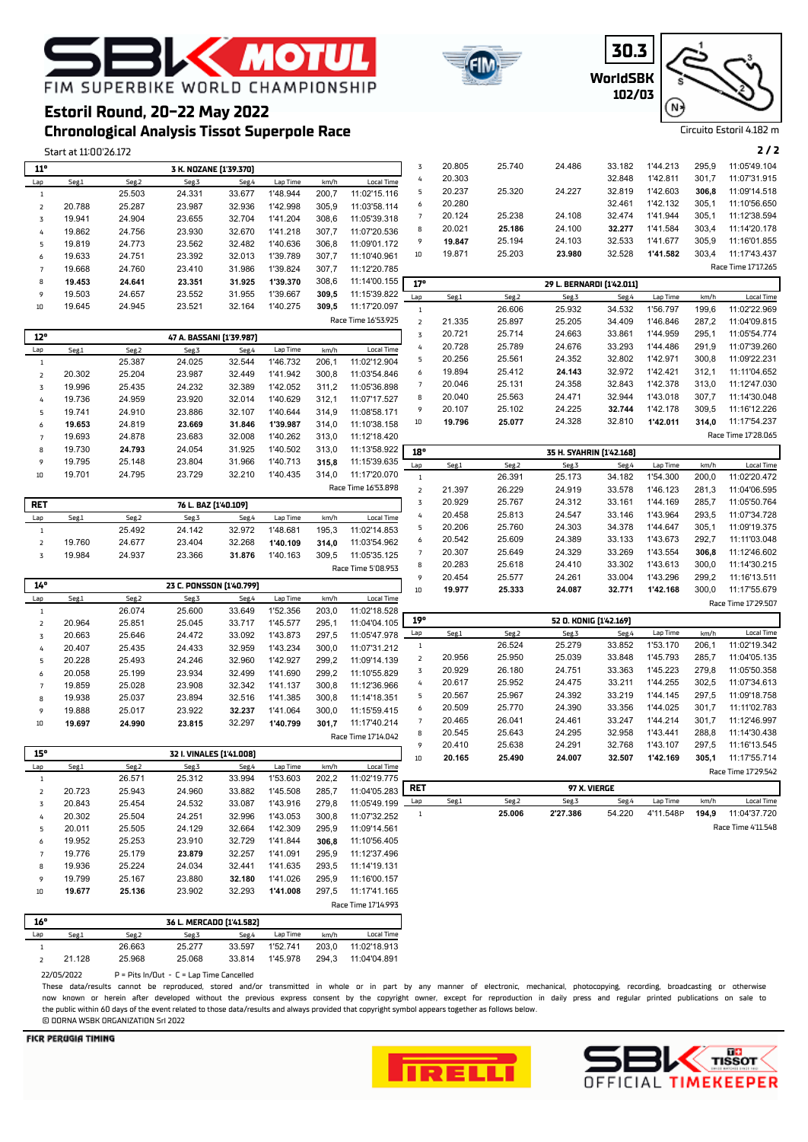





# FIM SUPERBIKE WORLD CHAMPIONSHIP **Estoril Round, 20-22 May 2022**

# **Chronological Analysis Tissot Superpole Race**

**K MOTU** 

Start at 11:00'26.172 **2 / 2**

| $11^{\circ}$        |                  |                  | 3 K. NOZANE [1'39.370]   |                  |                      |                |                              | $\overline{3}$          | 20.805 | 25.740 | 24.486                    | 33.182       | 1'44.213  | 295,9 | 11:05'49.104        |
|---------------------|------------------|------------------|--------------------------|------------------|----------------------|----------------|------------------------------|-------------------------|--------|--------|---------------------------|--------------|-----------|-------|---------------------|
| Lap                 | Seg.1            | Seg.2            | Seg.3                    | Seg.4            | Lap Time             | km/h           | <b>Local Time</b>            | $\overline{4}$          | 20.303 |        |                           | 32.848       | 1'42.811  | 301,7 | 11:07'31.915        |
| $\,1\,$             |                  | 25.503           | 24.331                   | 33.677           | 1'48.944             | 200,7          | 11:02'15.116                 | 5                       | 20.237 | 25.320 | 24.227                    | 32.819       | 1'42.603  | 306,8 | 11:09'14.518        |
| $\mathsf z$         | 20.788           | 25.287           | 23.987                   | 32.936           | 1'42.998             | 305,9          | 11:03'58.114                 | 6                       | 20.280 |        |                           | 32.461       | 1'42.132  | 305,1 | 11:10'56.650        |
| 3                   | 19.941           | 24.904           | 23.655                   | 32.704           | 1'41.204             | 308,6          | 11:05'39.318                 | $\overline{7}$          | 20.124 | 25.238 | 24.108                    | 32.474       | 1'41.944  | 305,1 | 11:12'38.594        |
| 4                   | 19.862           | 24.756           | 23.930                   | 32.670           | 1'41.218             | 307,7          | 11:07'20.536                 | 8                       | 20.021 | 25.186 | 24.100                    | 32.277       | 1'41.584  | 303,4 | 11:14'20.178        |
| 5                   | 19.819           | 24.773           | 23.562                   | 32.482           | 1'40.636             | 306,8          | 11:09'01.172                 | 9                       | 19.847 | 25.194 | 24.103                    | 32.533       | 1'41.677  | 305,9 | 11:16'01.855        |
| 6                   | 19.633           | 24.751           | 23.392                   | 32.013           | 1'39.789             | 307,7          | 11:10'40.961                 | $10\,$                  | 19.871 | 25.203 | 23.980                    | 32.528       | 1'41.582  | 303,4 | 11:17'43.437        |
| $\overline{7}$      | 19.668           | 24.760           | 23.410                   | 31.986           | 1'39.824             | 307,7          | 11:12'20.785                 |                         |        |        |                           |              |           |       | Race Time 17'17.265 |
| 8                   | 19.453           | 24.641           | 23.351                   | 31.925           | 1'39.370             | 308,6          | 11:14'00.155                 | 17°                     |        |        |                           |              |           |       |                     |
| 9                   | 19.503           | 24.657           | 23.552                   | 31.955           | 1'39.667             | 309,5          | 11:15'39.822                 |                         |        |        | 29 L. BERNARDI [1'42.011] |              |           |       |                     |
| 10                  | 19.645           | 24.945           | 23.521                   | 32.164           | 1'40.275             | 309,5          | 11:17'20.097                 | Lap                     | Seg.1  | Seg.2  | Seg.3                     | Seg.4        | Lap Time  | km/h  | <b>Local Time</b>   |
|                     |                  |                  |                          |                  |                      |                | Race Time 16'53.925          | $\,$ 1 $\,$             |        | 26.606 | 25.932                    | 34.532       | 1'56.797  | 199,6 | 11:02'22.969        |
|                     |                  |                  |                          |                  |                      |                |                              | $\overline{\mathbf{2}}$ | 21.335 | 25.897 | 25.205                    | 34.409       | 1'46.846  | 287,2 | 11:04'09.815        |
| $12^{\circ}$        |                  |                  | 47 A. BASSANI [1'39.987] |                  |                      |                |                              | $\mathbf 3$             | 20.721 | 25.714 | 24.663                    | 33.861       | 1'44.959  | 295,1 | 11:05'54.774        |
| Lap                 | Seg.1            | Seg.2            | Seg.3                    | Seg.4            | Lap Time             | km/h           | <b>Local Time</b>            | $\sqrt{4}$              | 20.728 | 25.789 | 24.676                    | 33.293       | 1'44.486  | 291,9 | 11:07'39.260        |
| $\,1\,$             |                  | 25.387           | 24.025                   | 32.544           | 1'46.732             | 206,1          | 11:02'12.904                 | 5                       | 20.256 | 25.561 | 24.352                    | 32.802       | 1'42.971  | 300,8 | 11:09'22.231        |
| $\mathsf{2}$        | 20.302           | 25.204           | 23.987                   | 32.449           | 1'41.942             | 300,8          | 11:03'54.846                 | 6                       | 19.894 | 25.412 | 24.143                    | 32.972       | 1'42.421  | 312,1 | 11:11'04.652        |
| 3                   | 19.996           | 25.435           | 24.232                   | 32.389           | 1'42.052             | 311,2          | 11:05'36.898                 | $\overline{7}$          | 20.046 | 25.131 | 24.358                    | 32.843       | 1'42.378  | 313.0 | 11:12'47.030        |
| 4                   | 19.736           | 24.959           | 23.920                   | 32.014           | 1'40.629             | 312,1          | 11:07'17.527                 | 8                       | 20.040 | 25.563 | 24.471                    | 32.944       | 1'43.018  | 307,7 | 11:14'30.048        |
| 5                   | 19.741           | 24.910           | 23.886                   | 32.107           | 1'40.644             | 314,9          | 11:08'58.171                 | 9                       | 20.107 | 25.102 | 24.225                    | 32.744       | 1'42.178  | 309,5 | 11:16'12.226        |
| 6                   | 19.653           | 24.819           | 23.669                   | 31.846           | 1'39.987             | 314,0          | 11:10'38.158                 | 10                      | 19.796 | 25.077 | 24.328                    | 32.810       | 1'42.011  | 314,0 | 11:17'54.237        |
| $\overline{7}$      | 19.693           | 24.878           | 23.683                   | 32.008           | 1'40.262             | 313,0          | 11:12'18.420                 |                         |        |        |                           |              |           |       | Race Time 17'28.065 |
| 8                   | 19.730           | 24.793           | 24.054                   | 31.925           | 1'40.502             | 313,0          | 11:13'58.922                 | 18°                     |        |        | 35 H. SYAHRIN [1'42.168]  |              |           |       |                     |
| 9                   | 19.795           | 25.148           | 23.804                   | 31.966           | 1'40.713             | 315,8          | 11:15'39.635                 | Lap                     | Seg.1  | Seg.2  | Seg.3                     | Seg.4        | Lap Time  | km/h  | <b>Local Time</b>   |
| 10                  | 19.701           | 24.795           | 23.729                   | 32.210           | 1'40.435             | 314,0          | 11:17'20.070                 | $\,1\,$                 |        | 26.391 | 25.173                    | 34.182       | 1'54.300  | 200,0 | 11:02'20.472        |
|                     |                  |                  |                          |                  |                      |                | Race Time 16'53.898          | $\overline{\mathbf{2}}$ | 21.397 | 26.229 | 24.919                    | 33.578       | 1'46.123  | 281.3 | 11:04'06.595        |
|                     |                  |                  |                          |                  |                      |                |                              | $\mathbf 3$             | 20.929 | 25.767 | 24.312                    | 33.161       | 1'44.169  | 285,7 | 11:05'50.764        |
| <b>RET</b>          |                  |                  | 76 L. BAZ [1'40.109]     |                  |                      |                |                              | $\sqrt{4}$              | 20.458 | 25.813 | 24.547                    | 33.146       | 1'43.964  | 293,5 | 11:07'34.728        |
| Lap                 | Seg.1            | Seg.2            | Seg.3                    | Seg.4            | Lap Time             | km/h           | <b>Local Time</b>            | 5                       | 20.206 | 25.760 | 24.303                    | 34.378       | 1'44.647  | 305,1 | 11:09'19.375        |
| $\,1\,$             |                  | 25.492           | 24.142                   | 32.972           | 1'48.681             | 195,3          | 11:02'14.853                 | 6                       | 20.542 | 25.609 | 24.389                    | 33.133       | 1'43.673  | 292,7 | 11:11'03.048        |
| $\mathsf{2}$        | 19.760           | 24.677           | 23.404                   | 32.268           | 1'40.109             | 314,0          | 11:03'54.962                 | $\overline{7}$          | 20.307 | 25.649 | 24.329                    | 33.269       | 1'43.554  | 306,8 | 11:12'46.602        |
| 3                   | 19.984           | 24.937           | 23.366                   | 31.876           | 1'40.163             | 309,5          | 11:05'35.125                 | 8                       | 20.283 | 25.618 | 24.410                    | 33.302       | 1'43.613  | 300,0 | 11:14'30.215        |
|                     |                  |                  |                          |                  |                      |                | Race Time 5'08.953           | 9                       | 20.454 | 25.577 | 24.261                    | 33.004       | 1'43.296  | 299,2 | 11:16'13.511        |
| 14°                 |                  |                  | 23 C. PONSSON [1'40.799] |                  |                      |                |                              | 10                      | 19.977 | 25.333 | 24.087                    | 32.771       | 1'42.168  | 300,0 | 11:17'55.679        |
| Lap                 | Seg.1            | Seg.2            | Seg.3                    | Seg.4            | Lap Time             | km/h           | Local Time                   |                         |        |        |                           |              |           |       | Race Time 17'29.507 |
| $\,1\,$             |                  | 26.074           | 25.600                   | 33.649           | 1'52.356             | 203,0          | 11:02'18.528                 |                         |        |        |                           |              |           |       |                     |
| $\mathsf{2}$        | 20.964           | 25.851           | 25.045                   | 33.717           | 1'45.577             | 295,1          | 11:04'04.105                 | 19°                     |        |        | 52 O. KONIG [1'42.169]    |              |           |       |                     |
| 3                   | 20.663           | 25.646           | 24.472                   | 33.092           | 1'43.873             | 297,5          | 11:05'47.978                 | Lap                     | Seg.1  | Seg.2  | Seg.3                     | Seg.4        | Lap Time  | km/h  | Local Time          |
| 4                   | 20.407           | 25.435           | 24.433                   | 32.959           | 1'43.234             | 300,0          | 11:07'31.212                 | $\mathbf{1}$            |        | 26.524 | 25.279                    | 33.852       | 1'53.170  | 206,1 | 11:02'19.342        |
| 5                   | 20.228           | 25.493           | 24.246                   | 32.960           | 1'42.927             | 299,2          | 11:09'14.139                 | $\mathsf{2}$            | 20.956 | 25.950 | 25.039                    | 33.848       | 1'45.793  | 285,7 | 11:04'05.135        |
| 6                   | 20.058           | 25.199           | 23.934                   | 32.499           | 1'41.690             | 299,2          | 11:10'55.829                 | $\mathbf 3$             | 20.929 | 26.180 | 24.751                    | 33.363       | 1'45.223  | 279,8 | 11:05'50.358        |
| $\overline{7}$      | 19.859           | 25.028           | 23.908                   | 32.342           | 1'41.137             | 300,8          | 11:12'36.966                 | $\sqrt{4}$              | 20.617 | 25.952 | 24.475                    | 33.211       | 1'44.255  | 302,5 | 11:07'34.613        |
| 8                   | 19.938           | 25.037           | 23.894                   | 32.516           | 1'41.385             | 300,8          | 11:14'18.351                 | 5                       | 20.567 | 25.967 | 24.392                    | 33.219       | 1'44.145  | 297.5 | 11:09'18.758        |
| 9                   | 19.888           | 25.017           | 23.922                   | 32.237           | 1'41.064             | 300,0          | 11:15'59.415                 | 6                       | 20.509 | 25.770 | 24.390                    | 33.356       | 1'44.025  | 301,7 | 11:11'02.783        |
| $10\,$              | 19.697           | 24.990           | 23.815                   | 32.297           | 1'40.799             | 301,7          | 11:17'40.214                 | $\overline{7}$          | 20.465 | 26.041 | 24.461                    | 33.247       | 1'44.214  | 301,7 | 11:12'46.997        |
|                     |                  |                  |                          |                  |                      |                | Race Time 17'14.042          | 8                       | 20.545 | 25.643 | 24.295                    | 32.958       | 1'43.441  | 288,8 | 11:14'30.438        |
|                     |                  |                  |                          |                  |                      |                |                              | 9                       | 20.410 | 25.638 | 24.291                    | 32.768       | 1'43.107  | 297,5 | 11:16'13.545        |
| 15°                 |                  |                  | 32 I. VINALES [1'41.008] |                  |                      |                |                              | 10                      | 20.165 | 25.490 | 24.007                    | 32.507       | 1'42.169  | 305,1 | 11:17'55.714        |
| Lap                 | Seg.1            | Seg.2            | Seg.3                    | Seg.4            | Lap Time             | km/h           | Local Time                   |                         |        |        |                           |              |           |       | Race Time 17'29.542 |
| $\,1\,$             |                  | 26.571           | 25.312                   | 33.994           | 1'53.603             | 202,2          | 11:02'19.775                 | <b>RET</b>              |        |        |                           | 97 X. VIERGE |           |       |                     |
| $\overline{2}$      |                  | 25.943           | 24.960                   | 33.882           | 1'45.508             | 285,7          | 11:04'05.283                 |                         |        |        |                           |              |           |       | <b>Local Time</b>   |
|                     | 20.723           |                  |                          |                  |                      |                |                              |                         |        |        |                           |              |           |       |                     |
| 3                   | 20.843           | 25.454           | 24.532                   | 33.087           | 1'43.916             | 279,8          | 11:05'49.199                 | Lap                     | Seg.1  | Seg.2  | Seg.3                     | Seg.4        | Lap Time  | km/h  |                     |
| 4                   | 20.302           | 25.504           | 24.251                   | 32.996           | 1'43.053             | 300,8          | 11:07'32.252                 | $\mathbf{1}$            |        | 25.006 | 2'27.386                  | 54.220       | 4'11.548P | 194,9 | 11:04'37.720        |
| 5                   | 20.011           | 25.505           | 24.129                   | 32.664           | 1'42.309             | 295,9          | 11:09'14.561                 |                         |        |        |                           |              |           |       | Race Time 4'11.548  |
| 6<br>$\overline{7}$ | 19.952<br>19.776 | 25.253<br>25.179 | 23.910<br>23.879         | 32.729<br>32.257 | 1'41.844<br>1'41.091 | 306,8<br>295,9 | 11:10'56.405<br>11:12'37.496 |                         |        |        |                           |              |           |       |                     |

| 16° |        |        | 36 L. MERCADO (1'41.582) |        |          |       |                     |
|-----|--------|--------|--------------------------|--------|----------|-------|---------------------|
|     |        |        |                          |        |          |       | Race Time 17'14.993 |
| 10  | 19.677 | 25.136 | 23.902                   | 32.293 | 1'41.008 | 297.5 | 11:17'41.165        |
| 9   | 19.799 | 25.167 | 23,880                   | 32.180 | 1'41.026 | 295.9 | 11:16'00.157        |
| 8   | 19.936 | 25.224 | 24.034                   | 32.441 | 1'41.635 | 293.5 | 11:14'19.131        |
|     | 19.776 | 25.179 | 23.879                   | 32.257 | 1'41.091 | 295.9 | 11:12'37.496        |

| - 10 |                      |                                        |        | 30 L. MERLAUU 11 41.5821 |          |       |              |
|------|----------------------|----------------------------------------|--------|--------------------------|----------|-------|--------------|
| Lan  | Seg.1                | Seg.2                                  | Seg.3  | Seg.4                    | Lap Time | km/h  | Local Time   |
|      |                      | 26.663                                 | 25.277 | 33.597                   | 1'52.741 | 203.0 | 11:02'18.913 |
|      | 21.128               | 25.968                                 | 25.068 | 33.814                   | 1'45.978 | 294.3 | 11:04'04.891 |
|      | ררמר <i>ו חמו</i> רר | $D = D(t - 1 - ID)(t - I - T - 1 - T)$ |        |                          |          |       |              |

 $22/05/2022$  P = Pits In/Out - C = Lap Time Can

These data/results cannot be reproduced, stored and/or transmitted in whole or in part by any manner of electronic, mechanical, photocopying, recording, broadcasting or otherwise now known or herein afer developed without the previous express consent by the copyright owner, except for reproduction in daily press and regular printed publications on sale to the public within 60 days of the event related to those data/results and always provided that copyright symbol appears together as follows below. © DORNA WSBK ORGANIZATION Srl 2022



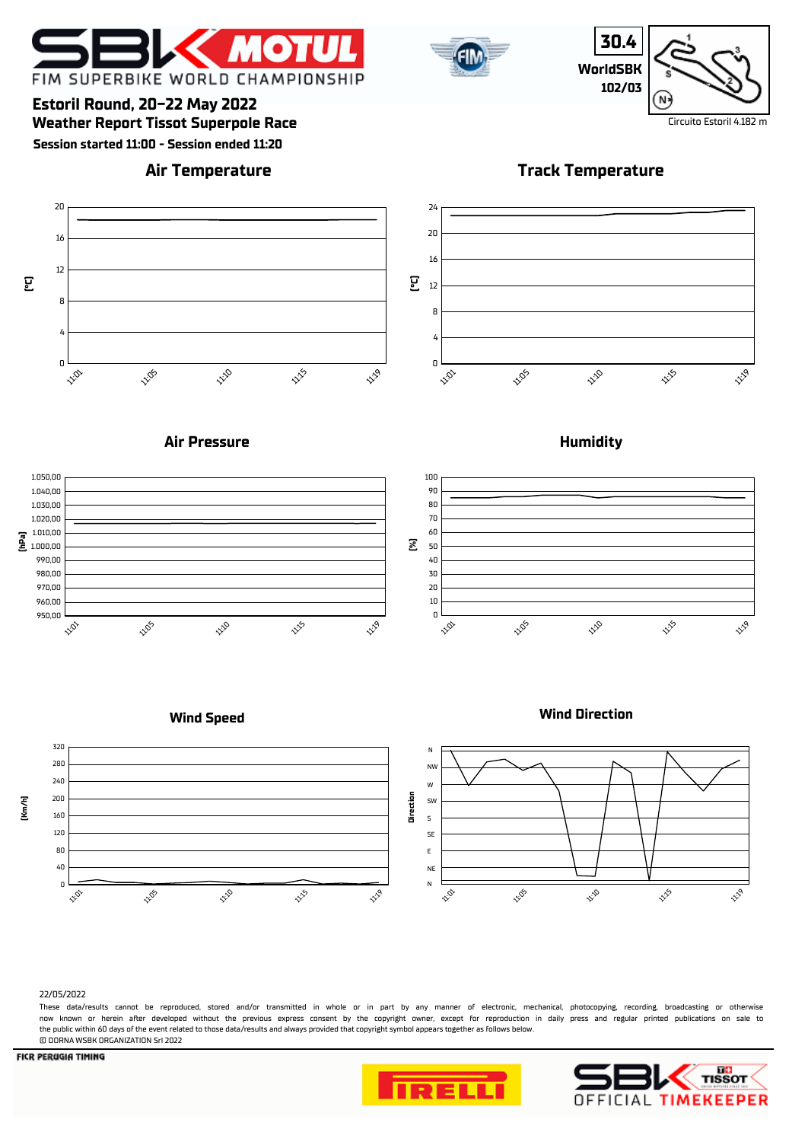



**30.4 WorldSBK 102/03**

**Track Temperature**



# **Weather Report Tissot Superpole Race** Circuito Estoril 4.182 m **Estoril Round, 20-22 May 2022**

11:05

**Session started 11:00 - Session ended 11:20**

# **Air Temperature**



## **Air Pressure**

11:10



## **Humidity**



## **Wind Speed**

# **Wind Direction**



#### 22/05/2022

0

11:01

4

8

12

 **(°C)**

16

20

These data/results cannot be reproduced, stored and/or transmitted in whole or in part by any manner of electronic, mechanical, photocopying, recording, broadcasting or otherwise now known or herein afer developed without the previous express consent by the copyright owner, except for reproduction in daily press and regular printed publications on sale to the public within 60 days of the event related to those data/results and always provided that copyright symbol appears together as follows below. © DORNA WSBK ORGANIZATION Srl 2022





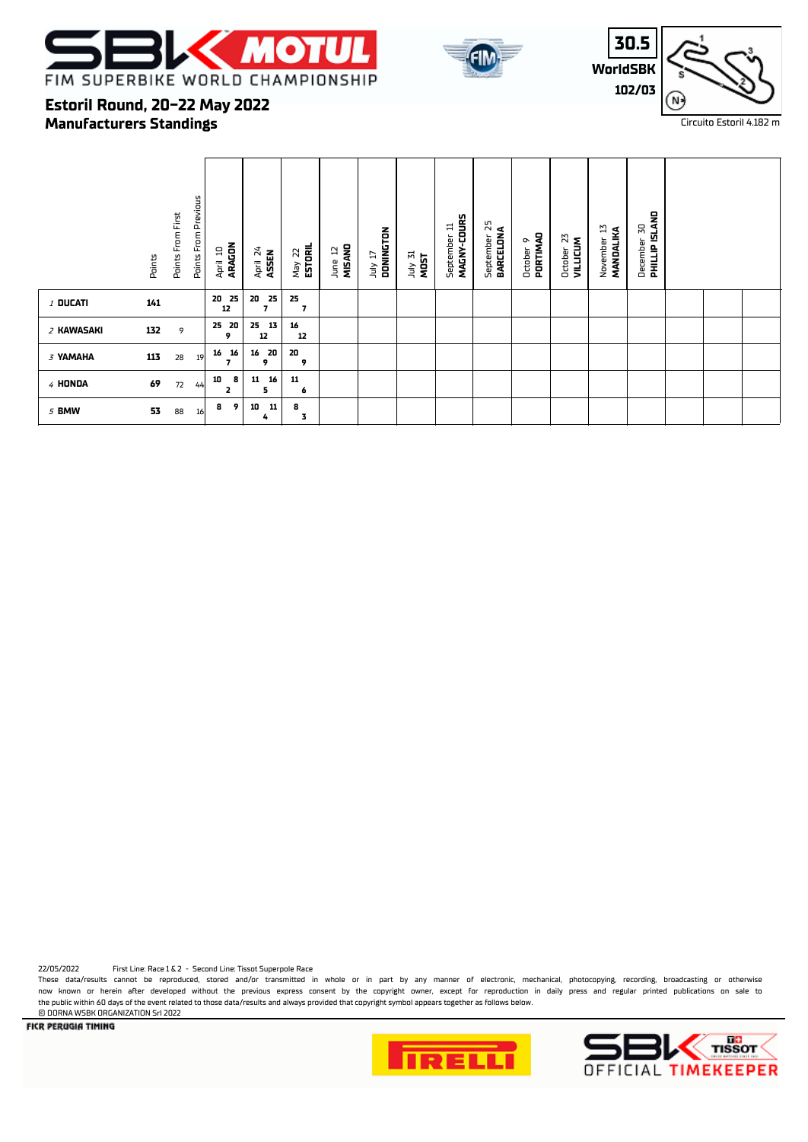





# **Manufacturers Standings Estoril Round, 20-22 May 2022**

|            | Points | Points From Previous<br>Points From First | April 10 | ARAGON  | April 24<br><b>ASSEN</b>             | May 22<br><b>ESTORIL</b> | MISANO<br>5<br>June | DONINGTON<br>TI VIDL | July 31<br>MOST | MAGNY-COURS<br>September 11 | 52<br>BARCELONA<br>September | PORTIMAD<br>ō<br>October | 23<br>VILLICUM<br>October | 13<br>MANDALIKA<br>November | <b>PHILLIP ISLAND</b><br>50<br>December |  |  |
|------------|--------|-------------------------------------------|----------|---------|--------------------------------------|--------------------------|---------------------|----------------------|-----------------|-----------------------------|------------------------------|--------------------------|---------------------------|-----------------------------|-----------------------------------------|--|--|
| $1$ DUCATI | 141    |                                           | 20<br>12 | 25      | 25<br>20<br>$\overline{\phantom{a}}$ | 25<br>$\overline{7}$     |                     |                      |                 |                             |                              |                          |                           |                             |                                         |  |  |
| 2 KAWASAKI | 132    | 9                                         | 25 20    | 9       | 25<br>13<br>12                       | 16<br>12                 |                     |                      |                 |                             |                              |                          |                           |                             |                                         |  |  |
| 3 YAMAHA   | 113    | 28                                        | 16<br>19 | 16<br>7 | 20<br>16<br>9                        | 20<br>9                  |                     |                      |                 |                             |                              |                          |                           |                             |                                         |  |  |
| 4 HONDA    | 69     | 72                                        | 10<br>44 | 8<br>2  | 16<br>11<br>5                        | 11<br>6                  |                     |                      |                 |                             |                              |                          |                           |                             |                                         |  |  |
| 5 BMW      | 53     | 88                                        | 8<br>16  | 9       | 10<br>11<br>4                        | 8<br>3                   |                     |                      |                 |                             |                              |                          |                           |                             |                                         |  |  |

22/05/2022 First Line: Race 1 & 2 - Second Line: Tissot Superpole Race

These data/results cannot be reproduced, stored and/or transmitted in whole or in part by any manner of electronic, mechanical, photocopying, recording, broadcasting or otherwise now known or herein after developed without the previous express consent by the copyright owner, except for reproduction in daily press and regular printed publications on sale to the public within 60 days of the event related to those data/results and always provided that copyright symbol appears together as follows below.

**E DORNA WSBK ORGANIZATION Srl 2022**<br>**FICR PERUGIA TIMING**